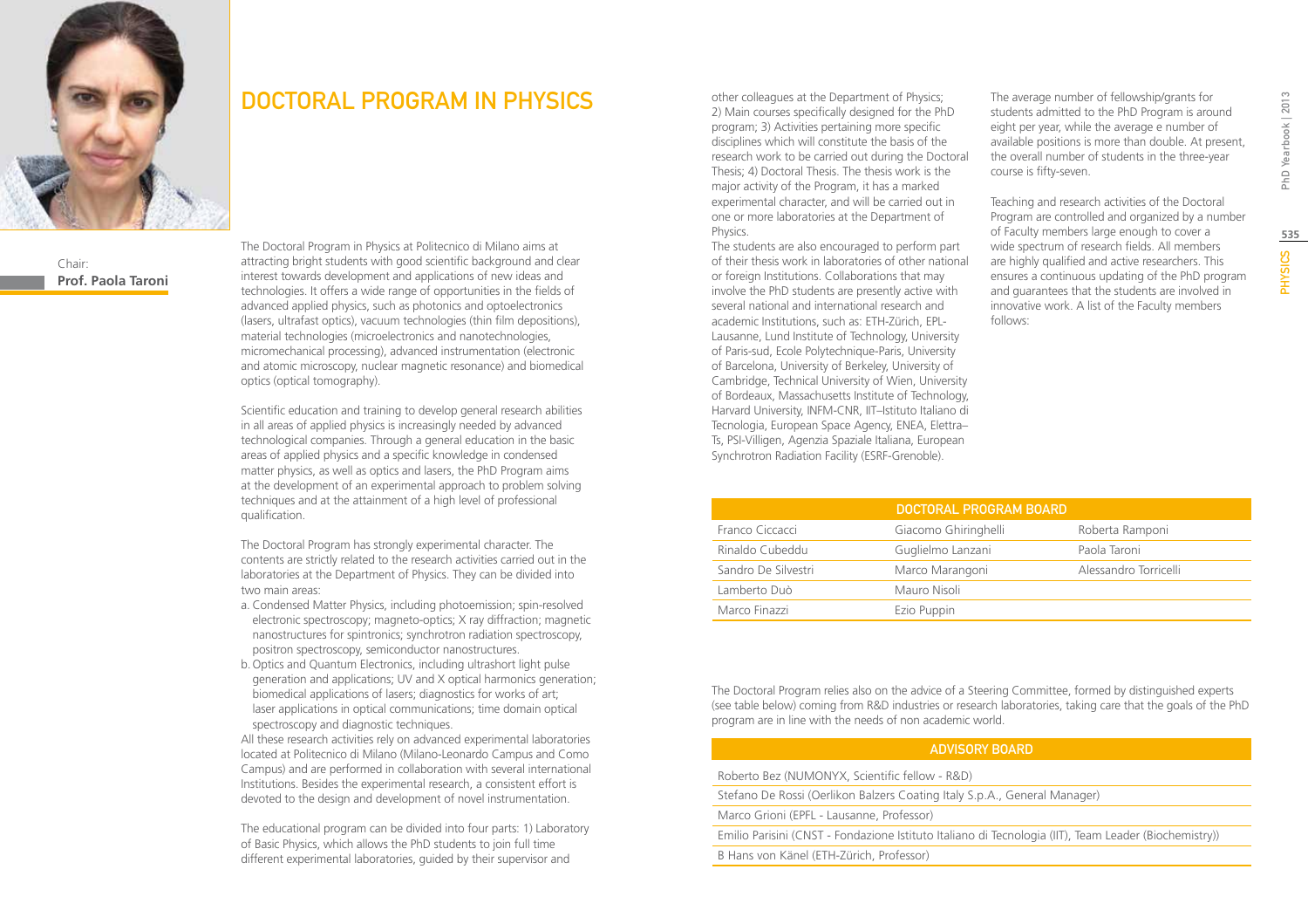

Chair: **Prof. Paola Taroni**

### DOCTORAL PROGRAM IN PHYSICS

The Doctoral Program in Physics at Politecnico di Milano aims at attracting bright students with good scientific background and clear interest towards development and applications of new ideas and technologies. It offers a wide range of opportunities in the fields of advanced applied physics, such as photonics and optoelectronics (lasers, ultrafast optics), vacuum technologies (thin film depositions), material technologies (microelectronics and nanotechnologies, micromechanical processing), advanced instrumentation (electronic and atomic microscopy, nuclear magnetic resonance) and biomedical optics (optical tomography).

Scientific education and training to develop general research abilities in all areas of applied physics is increasingly needed by advanced technological companies. Through a general education in the basic areas of applied physics and a specific knowledge in condensed matter physics, as well as optics and lasers, the PhD Program aims at the development of an experimental approach to problem solving techniques and at the attainment of a high level of professional qualification.

The Doctoral Program has strongly experimental character. The contents are strictly related to the research activities carried out in the laboratories at the Department of Physics. They can be divided into two main areas:

- a. Condensed Matter Physics, including photoemission; spin-resolved electronic spectroscopy; magneto-optics; X ray diffraction; magnetic nanostructures for spintronics; synchrotron radiation spectroscopy, positron spectroscopy, semiconductor nanostructures.
- b.Optics and Quantum Electronics, including ultrashort light pulse generation and applications; UV and X optical harmonics generation; biomedical applications of lasers; diagnostics for works of art; laser applications in optical communications; time domain optical spectroscopy and diagnostic techniques.

All these research activities rely on advanced experimental laboratories located at Politecnico di Milano (Milano-Leonardo Campus and Como Campus) and are performed in collaboration with several international Institutions. Besides the experimental research, a consistent effort is devoted to the design and development of novel instrumentation.

The educational program can be divided into four parts: 1) Laboratory of Basic Physics, which allows the PhD students to join full time different experimental laboratories, guided by their supervisor and

other colleagues at the Department of Physics; 2) Main courses specifically designed for the PhD program; 3) Activities pertaining more specific disciplines which will constitute the basis of the research work to be carried out during the Doctoral Thesis; 4) Doctoral Thesis. The thesis work is the major activity of the Program, it has a marked experimental character, and will be carried out in one or more laboratories at the Department of Physics.

The students are also encouraged to perform part of their thesis work in laboratories of other national or foreign Institutions. Collaborations that may involve the PhD students are presently active with several national and international research and academic Institutions, such as: ETH-Zürich, EPL-Lausanne, Lund Institute of Technology, University of Paris-sud, Ecole Polytechnique-Paris, University of Barcelona, University of Berkeley, University of Cambridge, Technical University of Wien, University of Bordeaux, Massachusetts Institute of Technology, Harvard University, INFM-CNR, IIT–Istituto Italiano di Tecnologia, European Space Agency, ENEA, Elettra– Ts, PSI-Villigen, Agenzia Spaziale Italiana, European Synchrotron Radiation Facility (ESRF-Grenoble).

The average number of fellowship/grants for students admitted to the PhD Program is around eight per year, while the average e number of available positions is more than double. At present, the overall number of students in the three-year course is fifty-seven.

Teaching and research activities of the Doctoral Program are controlled and organized by a number of Faculty members large enough to cover a wide spectrum of research fields. All members are highly qualified and active researchers. This ensures a continuous updating of the PhD program and guarantees that the students are involved in innovative work. A list of the Faculty members follows:

|                     | DOCTORAL PROGRAM BOARD |                       |
|---------------------|------------------------|-----------------------|
| Franco Ciccacci     | Giacomo Ghiringhelli   | Roberta Ramponi       |
| Rinaldo Cubeddu     | Guglielmo Lanzani      | Paola Taroni          |
| Sandro De Silvestri | Marco Marangoni        | Alessandro Torricelli |
| Lamberto Duò        | Mauro Nisoli           |                       |
| Marco Finazzi       | Ezio Puppin            |                       |

The Doctoral Program relies also on the advice of a Steering Committee, formed by distinguished experts (see table below) coming from R&D industries or research laboratories, taking care that the goals of the PhD program are in line with the needs of non academic world.

#### Advisory Board

Roberto Bez (NUMONYX, Scientific fellow - R&D)

Stefano De Rossi (Oerlikon Balzers Coating Italy S.p.A., General Manager)

Marco Grioni (EPFL - Lausanne, Professor)

Emilio Parisini (CNST - Fondazione Istituto Italiano di Tecnologia (IIT), Team Leader (Biochemistry))

B Hans von Känel (ETH-Zürich, Professor)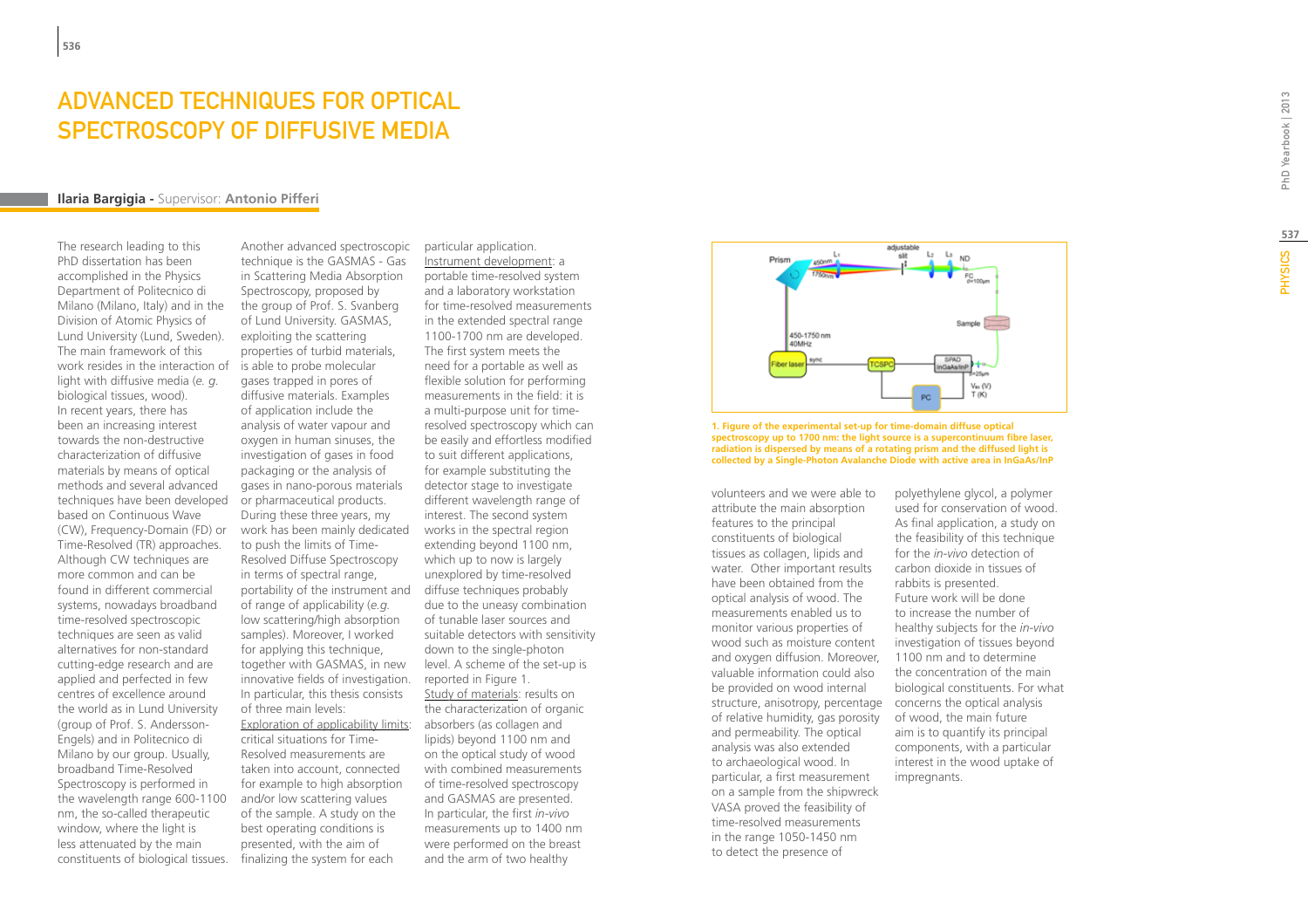# **ADVANCED TECHNIQUES FOR<br>SPECTROSCOPY OF DIFFUSIVE<br>Ilaria Bargigia - Supervisor: Antonio Pifferi** sp ECTROSCOPY OF DIFFUSIVE ME

The research leading to this PhD dissertation has been accomplished in the Physics Department of Politecnico di Milano (Milano, Italy) and in the Division of Atomic Physics of Lund University (Lund, Sweden). The main framework of this work resides in the interaction of is able to probe molecular light with diffusive media (*e. g.* biological tissues, wood). In recent years, there has been an increasing interest towards the non-destructive characterization of diffusive materials by means of optical methods and several advanced techniques have been developed based on Continuous Wave (CW), Frequency-Domain (FD) or Time-Resolved (TR) approaches. Although CW techniques are more common and can be found in different commercial systems, nowadays broadband time-resolved spectroscopic techniques are seen as valid alternatives for non-standard cutting-edge research and are applied and perfected in few centres of excellence around the world as in Lund University (group of Prof. S. Andersson-Engels) and in Politecnico di Milano by our group. Usually, broadband Time-Resolved Spectroscopy is performed in the wavelength range 600-1100 nm, the so-called therapeutic window, where the light is less attenuated by the main constituents of biological tissues.

Another advanced spectroscopic technique is the GASMAS - Gas in Scattering Media Absorption Spectroscopy, proposed by the group of Prof. S. Svanberg of Lund University. GASMAS, exploiting the scattering properties of turbid materials, gases trapped in pores of diffusive materials. Examples of application include the analysis of water vapour and oxygen in human sinuses, the investigation of gases in food packaging or the analysis of gases in nano-porous materials or pharmaceutical products. During these three years, my work has been mainly dedicated to push the limits of Time-Resolved Diffuse Spectroscopy in terms of spectral range, portability of the instrument and of range of applicability (*e.g.* low scattering/high absorption samples). Moreover, I worked for applying this technique. together with GASMAS, in new innovative fields of investigation. In particular, this thesis consists of three main levels: Exploration of applicability limits: absorbers (as collagen and critical situations for Time-Resolved measurements are taken into account, connected for example to high absorption and/or low scattering values of the sample. A study on the best operating conditions is presented, with the aim of

finalizing the system for each

particular application. Instrument development: a portable time-resolved system and a laboratory workstation for time-resolved measurements in the extended spectral range 1100-1700 nm are developed. The first system meets the need for a portable as well as flexible solution for performing measurements in the field: it is a multi-purpose unit for timeresolved spectroscopy which can be easily and effortless modified to suit different applications, for example substituting the detector stage to investigate different wavelength range of interest. The second system works in the spectral region extending beyond 1100 nm, which up to now is largely unexplored by time-resolved diffuse techniques probably due to the uneasy combination of tunable laser sources and suitable detectors with sensitivity down to the single-photon level. A scheme of the set-up is reported in Figure 1. Study of materials: results on the characterization of organic lipids) beyond 1100 nm and on the optical study of wood with combined measurements of time-resolved spectroscopy and GASMAS are presented. In particular, the first *in-vivo* measurements up to 1400 nm were performed on the breast and the arm of two healthy



**1. Figure of the experimental set-up for time-domain diffuse optical spectroscopy up to 1700 nm: the light source is a supercontinuum fibre laser, radiation is dispersed by means of a rotating prism and the diffused light is collected by a Single-Photon Avalanche Diode with active area in InGaAs/InP**

volunteers and we were able to attribute the main absorption features to the principal constituents of biological tissues as collagen, lipids and water. Other important results have been obtained from the optical analysis of wood. The measurements enabled us to monitor various properties of wood such as moisture content and oxygen diffusion. Moreover, valuable information could also be provided on wood internal structure, anisotropy, percentage of relative humidity, gas porosity and permeability. The optical analysis was also extended to archaeological wood. In particular, a first measurement on a sample from the shipwreck VASA proved the feasibility of time-resolved measurements in the range 1050-1450 nm to detect the presence of

polyethylene glycol, a polymer used for conservation of wood. As final application, a study on the feasibility of this technique for the *in-vivo* detection of carbon dioxide in tissues of rabbits is presented. Future work will be done to increase the number of healthy subjects for the *in-vivo* investigation of tissues beyond 1100 nm and to determine the concentration of the main biological constituents. For what concerns the optical analysis of wood, the main future aim is to quantify its principal components, with a particular interest in the wood uptake of impregnants.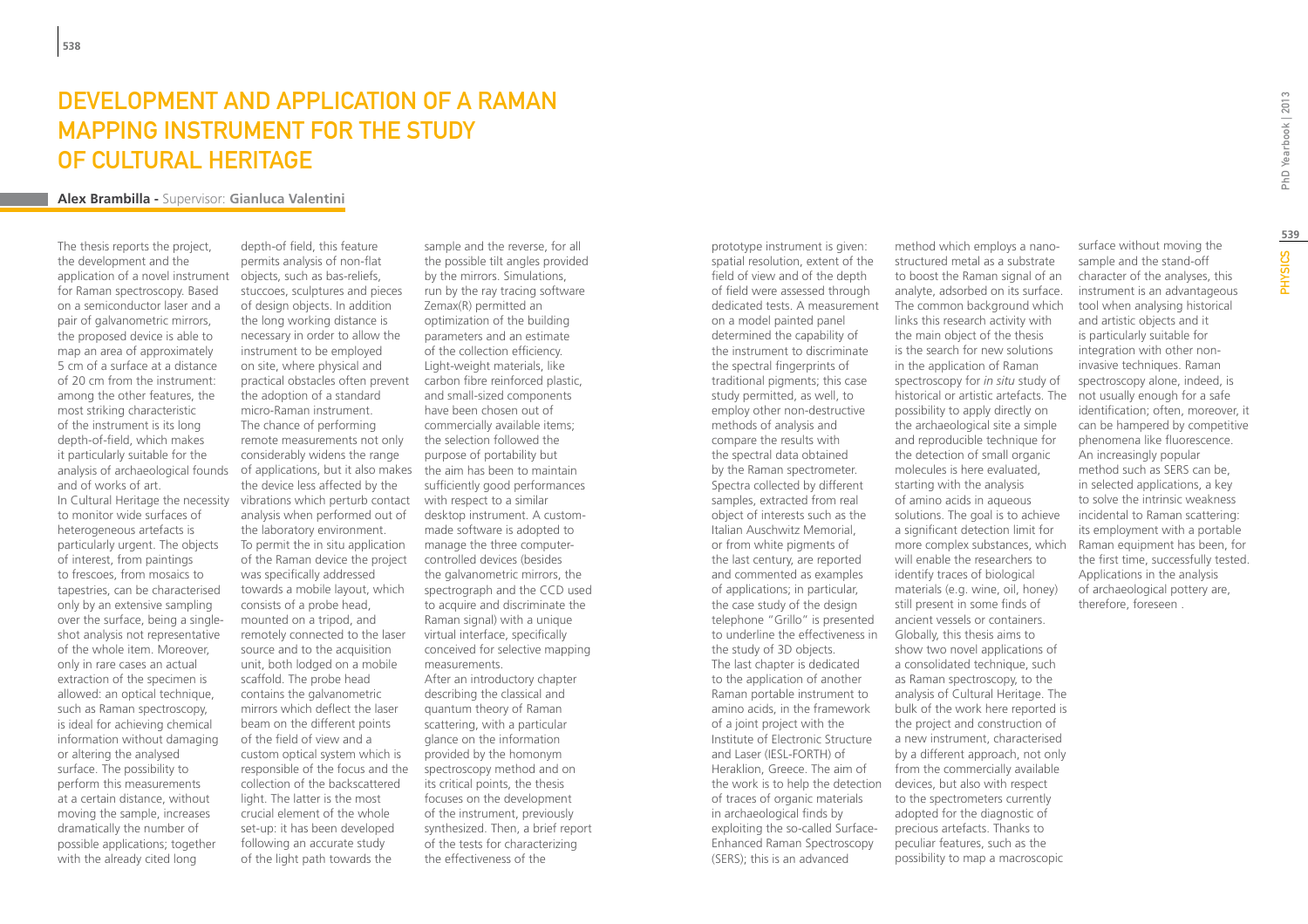### DEVELOPMENT AND APPLICATION OF A RAMAN mapping instrument for the study of Cultural Heritage

#### **Alex Brambilla -** Supervisor: **Gianluca Valentini**

The thesis reports the project, the development and the application of a novel instrument for Raman spectroscopy. Based on a semiconductor laser and a pair of galvanometric mirrors, the proposed device is able to map an area of approximately 5 cm of a surface at a distance of 20 cm from the instrument: among the other features, the most striking characteristic of the instrument is its long depth-of-field, which makes it particularly suitable for the analysis of archaeological founds and of works of art.

In Cultural Heritage the necessity to monitor wide surfaces of heterogeneous artefacts is particularly urgent. The objects of interest, from paintings to frescoes, from mosaics to tapestries, can be characterised only by an extensive sampling over the surface, being a singleshot analysis not representative of the whole item. Moreover, only in rare cases an actual extraction of the specimen is allowed: an optical technique, such as Raman spectroscopy, is ideal for achieving chemical information without damaging or altering the analysed surface. The possibility to perform this measurements at a certain distance, without moving the sample, increases dramatically the number of possible applications; together with the already cited long

depth-of field, this feature permits analysis of non-flat objects, such as bas-reliefs, stuccoes, sculptures and pieces of design objects. In addition the long working distance is necessary in order to allow the instrument to be employed on site, where physical and practical obstacles often prevent the adoption of a standard micro-Raman instrument. The chance of performing remote measurements not only considerably widens the range of applications, but it also makes the device less affected by the vibrations which perturb contact with respect to a similar analysis when performed out of the laboratory environment. To permit the in situ application of the Raman device the project was specifically addressed towards a mobile layout, which consists of a probe head, mounted on a tripod, and remotely connected to the laser source and to the acquisition unit, both lodged on a mobile scaffold. The probe head contains the galvanometric mirrors which deflect the laser beam on the different points of the field of view and a custom optical system which is responsible of the focus and the collection of the backscattered light. The latter is the most crucial element of the whole set-up: it has been developed following an accurate study of the light path towards the

sample and the reverse, for all the possible tilt angles provided by the mirrors. Simulations, run by the ray tracing software Zemax(R) permitted an optimization of the building parameters and an estimate of the collection efficiency. Light-weight materials, like carbon fibre reinforced plastic, and small-sized components have been chosen out of commercially available items; the selection followed the purpose of portability but the aim has been to maintain sufficiently good performances desktop instrument. A custommade software is adopted to manage the three computercontrolled devices (besides the galvanometric mirrors, the spectrograph and the CCD used to acquire and discriminate the Raman signal) with a unique virtual interface, specifically conceived for selective mapping measurements. After an introductory chapter describing the classical and quantum theory of Raman scattering, with a particular glance on the information provided by the homonym spectroscopy method and on its critical points, the thesis focuses on the development of the instrument, previously synthesized. Then, a brief report of the tests for characterizing the effectiveness of the

prototype instrument is given: spatial resolution, extent of the field of view and of the depth of field were assessed through dedicated tests. A measurement on a model painted panel determined the capability of the instrument to discriminate the spectral fingerprints of traditional pigments; this case study permitted, as well, to employ other non-destructive methods of analysis and compare the results with the spectral data obtained by the Raman spectrometer. Spectra collected by different samples, extracted from real object of interests such as the Italian Auschwitz Memorial, or from white pigments of the last century, are reported and commented as examples of applications; in particular, the case study of the design telephone "Grillo" is presented to underline the effectiveness in the study of 3D objects. The last chapter is dedicated to the application of another Raman portable instrument to amino acids, in the framework of a joint project with the Institute of Electronic Structure and Laser (IESL-FORTH) of Heraklion, Greece. The aim of the work is to help the detection of traces of organic materials in archaeological finds by exploiting the so-called Surface-Enhanced Raman Spectroscopy (SERS); this is an advanced

method which employs a nanostructured metal as a substrate to boost the Raman signal of an analyte, adsorbed on its surface. The common background which links this research activity with the main object of the thesis is the search for new solutions in the application of Raman spectroscopy for *in situ* study of historical or artistic artefacts. The possibility to apply directly on the archaeological site a simple and reproducible technique for the detection of small organic molecules is here evaluated, starting with the analysis of amino acids in aqueous solutions. The goal is to achieve a significant detection limit for more complex substances, which will enable the researchers to identify traces of biological materials (e.g. wine, oil, honey) still present in some finds of ancient vessels or containers. Globally, this thesis aims to show two novel applications of a consolidated technique, such as Raman spectroscopy, to the analysis of Cultural Heritage. The bulk of the work here reported is the project and construction of a new instrument, characterised by a different approach, not only from the commercially available devices, but also with respect to the spectrometers currently adopted for the diagnostic of precious artefacts. Thanks to peculiar features, such as the possibility to map a macroscopic

surface without moving the sample and the stand-off character of the analyses, this instrument is an advantageous tool when analysing historical and artistic objects and it is particularly suitable for integration with other noninvasive techniques. Raman spectroscopy alone, indeed, is not usually enough for a safe identification; often, moreover, it can be hampered by competitive phenomena like fluorescence. An increasingly popular method such as SERS can be, in selected applications, a key to solve the intrinsic weakness incidental to Raman scattering: its employment with a portable Raman equipment has been, for the first time, successfully tested. Applications in the analysis of archaeological pottery are, therefore, foreseen .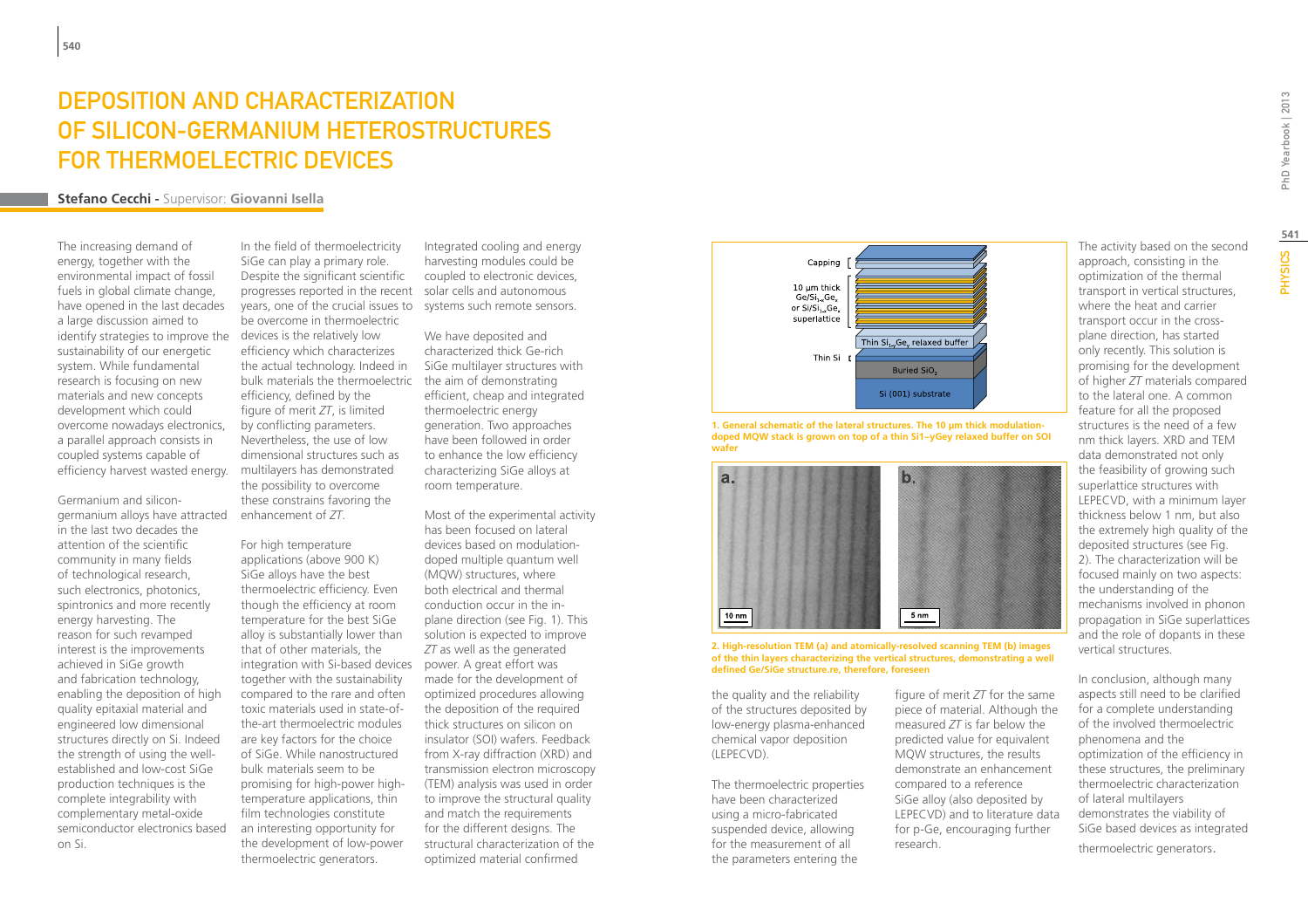## Deposition and Characterization of Silicon-Germanium Heterostructures for Thermoelectric Devices

### **Stefano Cecchi -** Supervisor: **Giovanni Isella**

The increasing demand of energy, together with the environmental impact of fossil fuels in global climate change, have opened in the last decades a large discussion aimed to identify strategies to improve the sustainability of our energetic system. While fundamental research is focusing on new materials and new concepts development which could overcome nowadays electronics, a parallel approach consists in coupled systems capable of efficiency harvest wasted energy.

Germanium and silicongermanium alloys have attracted in the last two decades the attention of the scientific community in many fields of technological research, such electronics, photonics, spintronics and more recently energy harvesting. The reason for such revamped interest is the improvements achieved in SiGe growth and fabrication technology, enabling the deposition of high quality epitaxial material and engineered low dimensional structures directly on Si. Indeed the strength of using the wellestablished and low-cost SiGe production techniques is the complete integrability with complementary metal-oxide semiconductor electronics based on Si.

In the field of thermoelectricity SiGe can play a primary role. Despite the significant scientific progresses reported in the recent solar cells and autonomous years, one of the crucial issues to be overcome in thermoelectric devices is the relatively low efficiency which characterizes the actual technology. Indeed in bulk materials the thermoelectric efficiency, defined by the figure of merit *ZT*, is limited by conflicting parameters. Nevertheless, the use of low dimensional structures such as multilayers has demonstrated the possibility to overcome these constrains favoring the enhancement of *ZT*.

For high temperature applications (above 900 K) SiGe alloys have the best thermoelectric efficiency. Even though the efficiency at room temperature for the best SiGe alloy is substantially lower than that of other materials, the integration with Si-based devices power. A great effort was together with the sustainability compared to the rare and often toxic materials used in state-ofthe-art thermoelectric modules are key factors for the choice of SiGe. While nanostructured bulk materials seem to be promising for high-power hightemperature applications, thin film technologies constitute an interesting opportunity for the development of low-power thermoelectric generators.

Integrated cooling and energy harvesting modules could be coupled to electronic devices, systems such remote sensors.

We have deposited and characterized thick Ge-rich SiGe multilayer structures with the aim of demonstrating efficient, cheap and integrated thermoelectric energy generation. Two approaches have been followed in order to enhance the low efficiency characterizing SiGe alloys at room temperature.

Most of the experimental activity has been focused on lateral devices based on modulationdoped multiple quantum well (MQW) structures, where both electrical and thermal conduction occur in the inplane direction (see Fig. 1). This solution is expected to improve *ZT* as well as the generated made for the development of optimized procedures allowing the deposition of the required thick structures on silicon on insulator (SOI) wafers. Feedback from X-ray diffraction (XRD) and transmission electron microscopy (TEM) analysis was used in order to improve the structural quality and match the requirements for the different designs. The structural characterization of the optimized material confirmed



**1. General schematic of the lateral structures. The 10 μm thick modulationdoped MQW stack is grown on top of a thin Si1−yGey relaxed buffer on SOI wafer**



**2. High-resolution TEM (a) and atomically-resolved scanning TEM (b) images of the thin layers characterizing the vertical structures, demonstrating a well defined Ge/SiGe structure.re, therefore, foreseen**

the quality and the reliability of the structures deposited by low-energy plasma-enhanced chemical vapor deposition (LEPECVD).

The thermoelectric properties have been characterized using a micro-fabricated suspended device, allowing for the measurement of all the parameters entering the

figure of merit *ZT* for the same piece of material. Although the measured *ZT* is far below the predicted value for equivalent MQW structures, the results demonstrate an enhancement compared to a reference SiGe alloy (also deposited by LEPECVD) and to literature data for p-Ge, encouraging further research.

The activity based on the second approach, consisting in the optimization of the thermal transport in vertical structures, where the heat and carrier transport occur in the crossplane direction, has started only recently. This solution is promising for the development of higher *ZT* materials compared to the lateral one. A common feature for all the proposed structures is the need of a few nm thick layers. XRD and TEM data demonstrated not only the feasibility of growing such superlattice structures with LEPECVD, with a minimum layer thickness below 1 nm, but also the extremely high quality of the deposited structures (see Fig. 2). The characterization will be focused mainly on two aspects: the understanding of the mechanisms involved in phonon propagation in SiGe superlattices and the role of dopants in these

In conclusion, although many aspects still need to be clarified for a complete understanding of the involved thermoelectric phenomena and the optimization of the efficiency in these structures, the preliminary thermoelectric characterization of lateral multilayers demonstrates the viability of SiGe based devices as integrated thermoelectric generators.

vertical structures.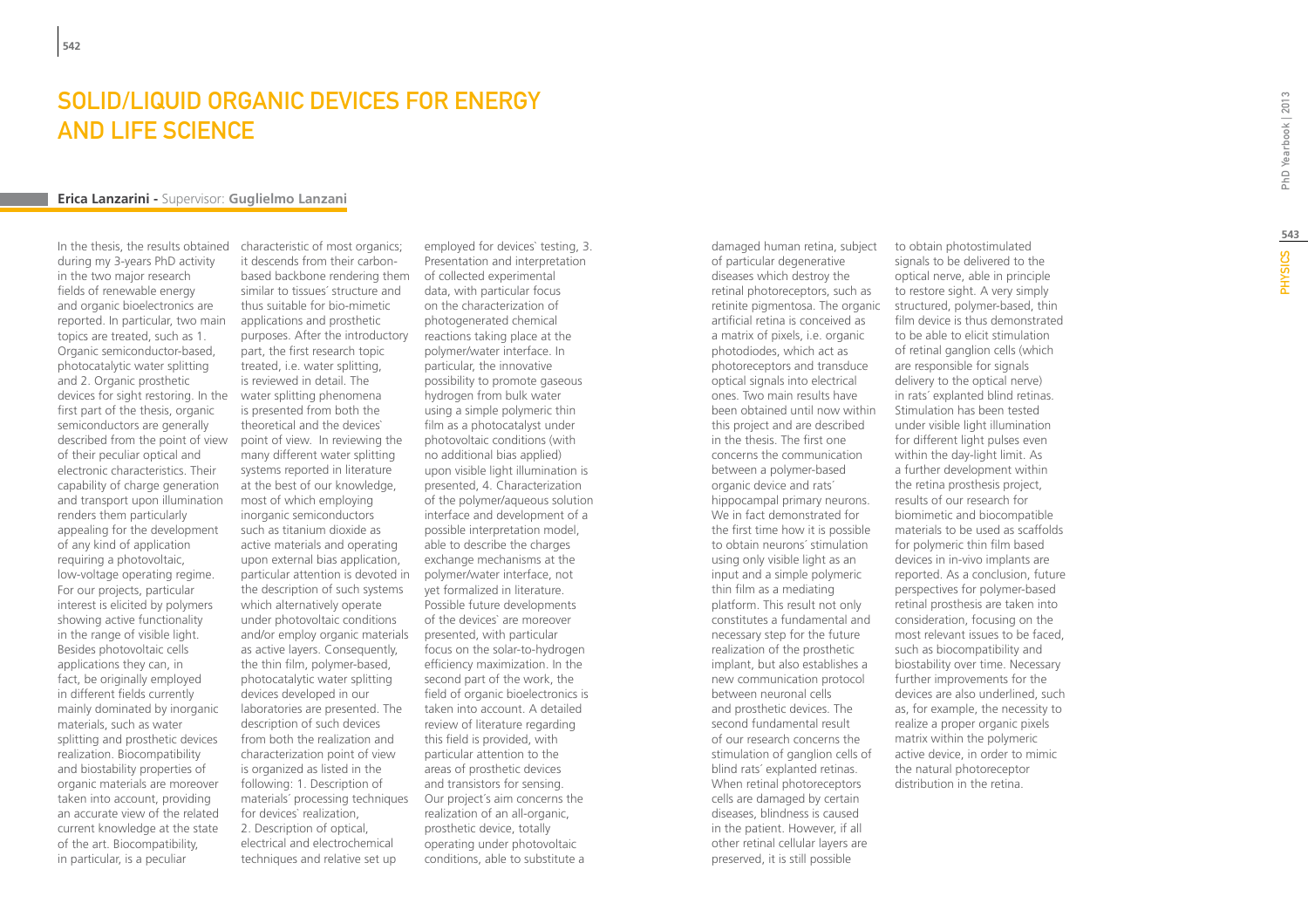### Solid/liquid organic devices for energy and life science

#### **Erica Lanzarini -** Supervisor: **Guglielmo Lanzani**

In the thesis, the results obtained during my 3-years PhD activity in the two major research fields of renewable energy and organic bioelectronics are reported. In particular, two main topics are treated, such as 1. Organic semiconductor-based, photocatalytic water splitting and 2. Organic prosthetic devices for sight restoring. In the first part of the thesis, organic semiconductors are generally described from the point of view of their peculiar optical and electronic characteristics. Their capability of charge generation and transport upon illumination renders them particularly appealing for the development of any kind of application requiring a photovoltaic, low-voltage operating regime. For our projects, particular interest is elicited by polymers showing active functionality in the range of visible light. Besides photovoltaic cells applications they can, in fact, be originally employed in different fields currently mainly dominated by inorganic materials, such as water splitting and prosthetic devices realization. Biocompatibility and biostability properties of organic materials are moreover taken into account, providing an accurate view of the related current knowledge at the state of the art. Biocompatibility, in particular, is a peculiar

characteristic of most organics; it descends from their carbonbased backbone rendering them of collected experimental similar to tissues´ structure and thus suitable for bio-mimetic applications and prosthetic purposes. After the introductory part, the first research topic treated, i.e. water splitting, is reviewed in detail. The water splitting phenomena is presented from both the theoretical and the devices` point of view. In reviewing the many different water splitting systems reported in literature at the best of our knowledge, most of which employing inorganic semiconductors such as titanium dioxide as active materials and operating upon external bias application, particular attention is devoted in the description of such systems which alternatively operate under photovoltaic conditions and/or employ organic materials as active layers. Consequently, the thin film, polymer-based, photocatalytic water splitting devices developed in our laboratories are presented. The description of such devices from both the realization and characterization point of view is organized as listed in the following: 1. Description of materials´ processing techniques for devices` realization, 2. Description of optical, electrical and electrochemical techniques and relative set up

employed for devices` testing, 3. Presentation and interpretation data, with particular focus on the characterization of photogenerated chemical reactions taking place at the polymer/water interface. In particular, the innovative possibility to promote gaseous hydrogen from bulk water using a simple polymeric thin film as a photocatalyst under photovoltaic conditions (with no additional bias applied) upon visible light illumination is presented, 4. Characterization of the polymer/aqueous solution interface and development of a possible interpretation model, able to describe the charges exchange mechanisms at the polymer/water interface, not yet formalized in literature. Possible future developments of the devices` are moreover presented, with particular focus on the solar-to-hydrogen efficiency maximization. In the second part of the work, the field of organic bioelectronics is taken into account. A detailed review of literature regarding this field is provided, with particular attention to the areas of prosthetic devices and transistors for sensing. Our project´s aim concerns the realization of an all-organic, prosthetic device, totally operating under photovoltaic conditions, able to substitute a

damaged human retina, subject of particular degenerative diseases which destroy the retinal photoreceptors, such as retinite pigmentosa. The organic artificial retina is conceived as a matrix of pixels, i.e. organic photodiodes, which act as photoreceptors and transduce optical signals into electrical ones. Two main results have been obtained until now within this project and are described in the thesis. The first one concerns the communication between a polymer-based organic device and rats´ hippocampal primary neurons. We in fact demonstrated for the first time how it is possible to obtain neurons´ stimulation using only visible light as an input and a simple polymeric thin film as a mediating platform. This result not only constitutes a fundamental and necessary step for the future realization of the prosthetic implant, but also establishes a new communication protocol between neuronal cells and prosthetic devices. The second fundamental result of our research concerns the stimulation of ganglion cells of blind rats´ explanted retinas. When retinal photoreceptors cells are damaged by certain diseases, blindness is caused in the patient. However, if all other retinal cellular layers are preserved, it is still possible

to obtain photostimulated signals to be delivered to the optical nerve, able in principle to restore sight. A very simply structured, polymer-based, thin film device is thus demonstrated to be able to elicit stimulation of retinal ganglion cells (which are responsible for signals delivery to the optical nerve) in rats´ explanted blind retinas. Stimulation has been tested under visible light illumination for different light pulses even within the day-light limit. As a further development within the retina prosthesis project, results of our research for biomimetic and biocompatible materials to be used as scaffolds for polymeric thin film based devices in in-vivo implants are reported. As a conclusion, future perspectives for polymer-based retinal prosthesis are taken into consideration, focusing on the most relevant issues to be faced, such as biocompatibility and biostability over time. Necessary further improvements for the devices are also underlined, such as, for example, the necessity to realize a proper organic pixels matrix within the polymeric active device, in order to mimic the natural photoreceptor distribution in the retina.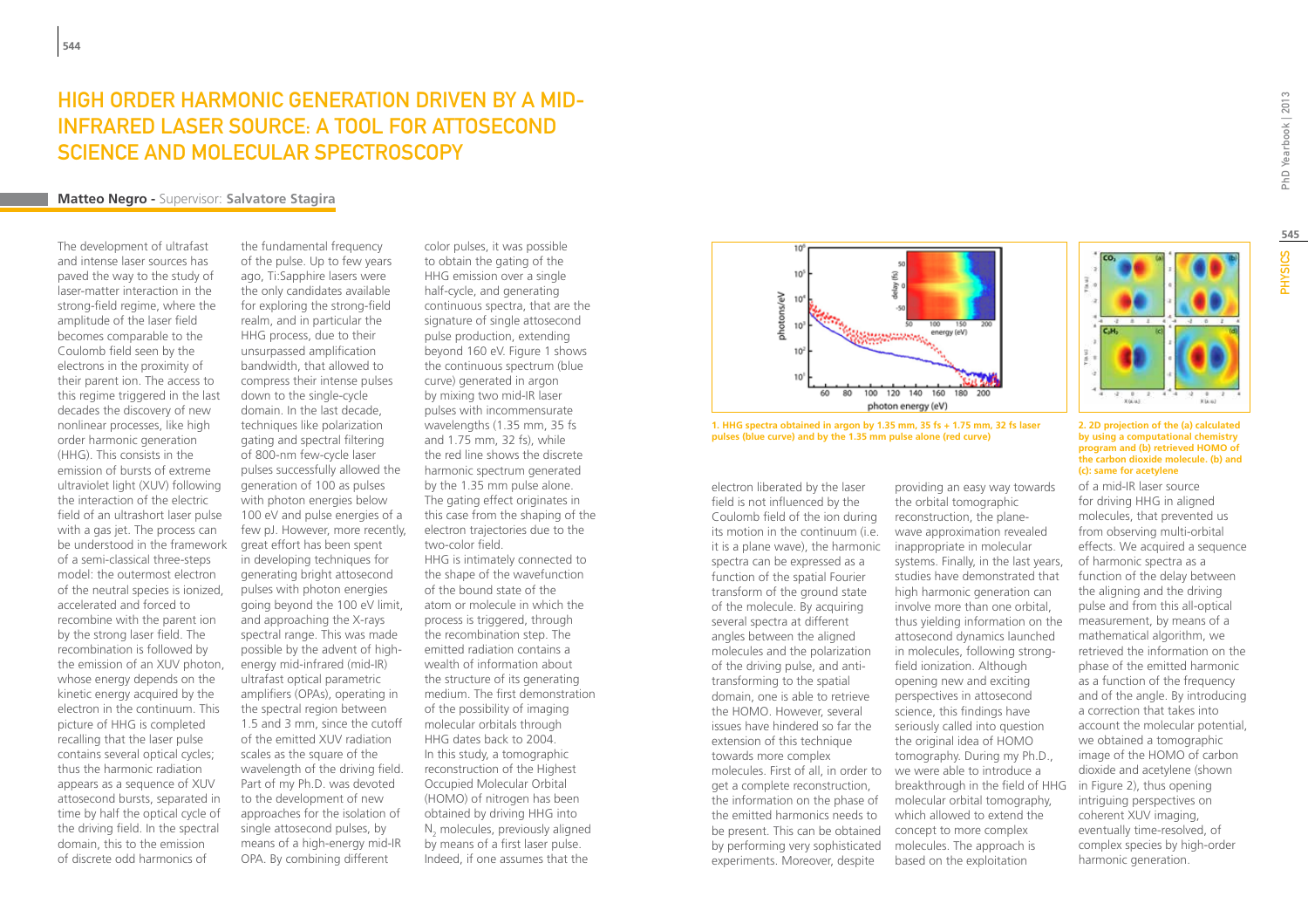### High order harmonic generation driven by a midinfrared laser source: a tool for attosecond science and molecular spectroscopy

#### **Matteo Negro -** Supervisor: **Salvatore Stagira**

The development of ultrafast and intense laser sources has paved the way to the study of laser-matter interaction in the strong-field regime, where the amplitude of the laser field becomes comparable to the Coulomb field seen by the electrons in the proximity of their parent ion. The access to this regime triggered in the last decades the discovery of new nonlinear processes, like high order harmonic generation (HHG). This consists in the emission of bursts of extreme ultraviolet light (XUV) following the interaction of the electric field of an ultrashort laser pulse with a gas jet. The process can be understood in the framework of a semi-classical three-steps model: the outermost electron of the neutral species is ionized, accelerated and forced to recombine with the parent ion by the strong laser field. The recombination is followed by the emission of an XUV photon, whose energy depends on the kinetic energy acquired by the electron in the continuum. This picture of HHG is completed recalling that the laser pulse contains several optical cycles; thus the harmonic radiation appears as a sequence of XUV attosecond bursts, separated in time by half the optical cycle of the driving field. In the spectral domain, this to the emission of discrete odd harmonics of

the fundamental frequency of the pulse. Up to few years ago, Ti:Sapphire lasers were the only candidates available for exploring the strong-field realm, and in particular the HHG process, due to their unsurpassed amplification bandwidth, that allowed to compress their intense pulses down to the single-cycle domain. In the last decade, techniques like polarization gating and spectral filtering of 800-nm few-cycle laser pulses successfully allowed the generation of 100 as pulses with photon energies below 100 eV and pulse energies of a few pJ. However, more recently, great effort has been spent in developing techniques for generating bright attosecond pulses with photon energies going beyond the 100 eV limit, and approaching the X-rays spectral range. This was made possible by the advent of highenergy mid-infrared (mid-IR) ultrafast optical parametric amplifiers (OPAs), operating in the spectral region between 1.5 and 3 mm, since the cutoff of the emitted XUV radiation scales as the square of the wavelength of the driving field. Part of my Ph.D. was devoted to the development of new approaches for the isolation of single attosecond pulses, by means of a high-energy mid-IR OPA. By combining different

color pulses, it was possible to obtain the gating of the HHG emission over a single half-cycle, and generating continuous spectra, that are the signature of single attosecond pulse production, extending beyond 160 eV. Figure 1 shows the continuous spectrum (blue curve) generated in argon by mixing two mid-IR laser pulses with incommensurate wavelengths (1.35 mm, 35 fs and 1.75 mm, 32 fs), while the red line shows the discrete harmonic spectrum generated by the 1.35 mm pulse alone. The gating effect originates in this case from the shaping of the electron trajectories due to the two-color field. HHG is intimately connected to the shape of the wavefunction of the bound state of the atom or molecule in which the process is triggered, through the recombination step. The emitted radiation contains a wealth of information about the structure of its generating medium. The first demonstration of the possibility of imaging molecular orbitals through HHG dates back to 2004. In this study, a tomographic reconstruction of the Highest Occupied Molecular Orbital (HOMO) of nitrogen has been obtained by driving HHG into  $N<sub>2</sub>$  molecules, previously aligned by means of a first laser pulse. Indeed, if one assumes that the



**1. HHG spectra obtained in argon by 1.35 mm, 35 fs + 1.75 mm, 32 fs laser pulses (blue curve) and by the 1.35 mm pulse alone (red curve)**

electron liberated by the laser field is not influenced by the Coulomb field of the ion during its motion in the continuum (i.e. it is a plane wave), the harmonic spectra can be expressed as a function of the spatial Fourier transform of the ground state of the molecule. By acquiring several spectra at different angles between the aligned molecules and the polarization of the driving pulse, and antitransforming to the spatial domain, one is able to retrieve the HOMO. However, several issues have hindered so far the extension of this technique towards more complex molecules. First of all, in order to we were able to introduce a get a complete reconstruction, the information on the phase of the emitted harmonics needs to be present. This can be obtained by performing very sophisticated experiments. Moreover, despite

providing an easy way towards the orbital tomographic reconstruction, the planewave approximation revealed inappropriate in molecular systems. Finally, in the last years, studies have demonstrated that high harmonic generation can involve more than one orbital, thus yielding information on the attosecond dynamics launched in molecules, following strongfield ionization. Although opening new and exciting perspectives in attosecond science, this findings have seriously called into question the original idea of HOMO tomography. During my Ph.D., breakthrough in the field of HHG molecular orbital tomography, which allowed to extend the concept to more complex molecules. The approach is based on the exploitation

#### **2. 2D projection of the (a) calculated by using a computational chemistry program and (b) retrieved HOMO of the carbon dioxide molecule. (b) and (c): same for acetylene**

of a mid-IR laser source for driving HHG in aligned molecules, that prevented us from observing multi-orbital effects. We acquired a sequence of harmonic spectra as a function of the delay between the aligning and the driving pulse and from this all-optical measurement, by means of a mathematical algorithm, we retrieved the information on the phase of the emitted harmonic as a function of the frequency and of the angle. By introducing a correction that takes into account the molecular potential, we obtained a tomographic image of the HOMO of carbon dioxide and acetylene (shown in Figure 2), thus opening intriguing perspectives on coherent XUV imaging, eventually time-resolved, of complex species by high-order harmonic generation.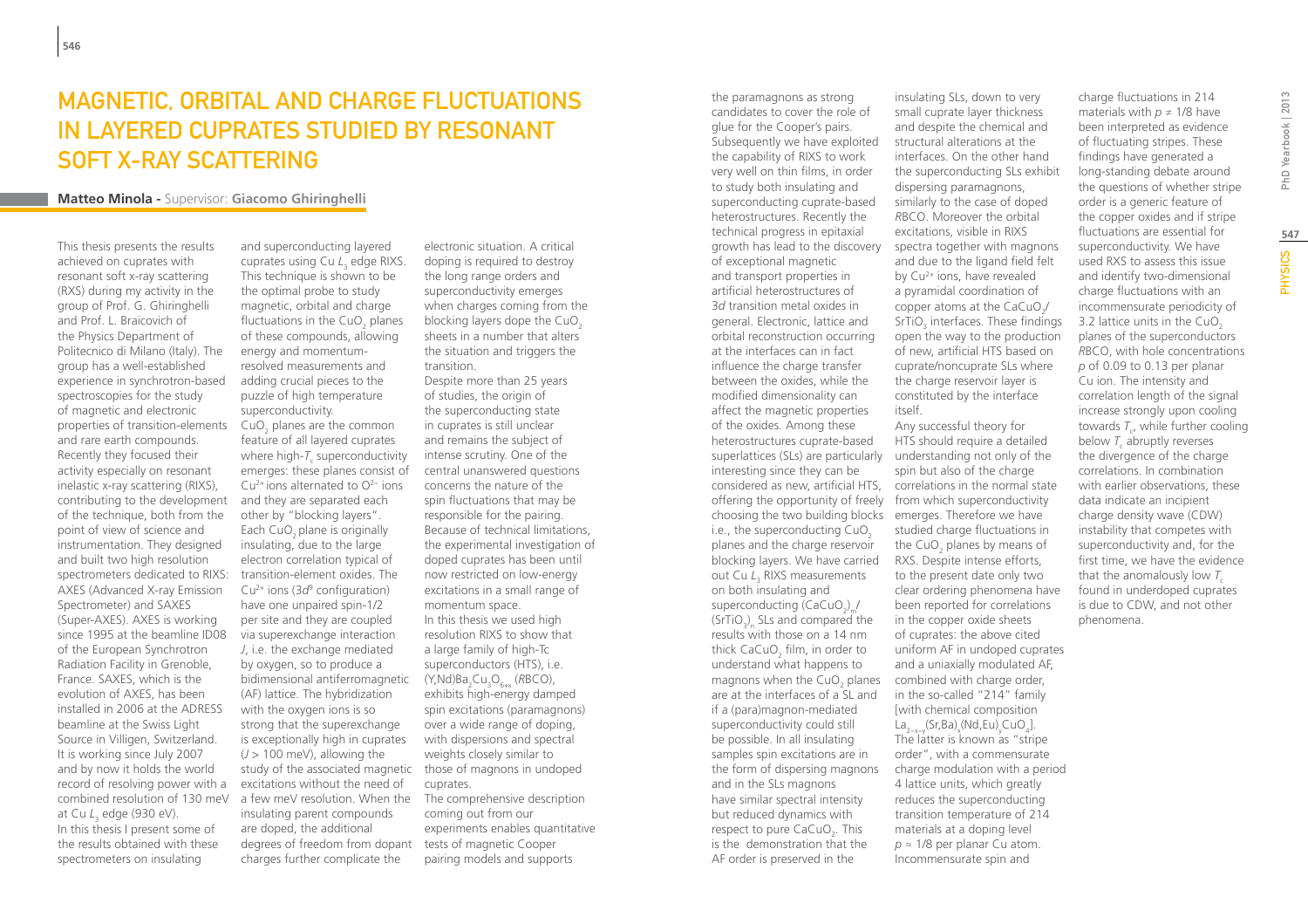### MAGNETIC, ORBITAL AND CHARGE FLUCTUATIONS IN LAYERED CUPRATES STUDIED BY RESONANT SOFT X-RAY SCATTERING

#### **Matteo Minola -** Supervisor: **Giacomo Ghiringhelli**

This thesis presents the results achieved on cuprates with resonant soft x-ray scattering (RXS) during my activity in the group of Prof. G. Ghiringhelli and Prof. L. Braicovich of the Physics Department of Politecnico di Milano (Italy). The group has a well-established experience in synchrotron-based spectroscopies for the study of magnetic and electronic properties of transition-elements and rare earth compounds. Recently they focused their activity especially on resonant inelastic x-ray scattering (RIXS), contributing to the development of the technique, both from the point of view of science and instrumentation. They designed and built two high resolution spectrometers dedicated to RIXS: AXES (Advanced X-ray Emission Spectrometer) and SAXES (Super-AXES). AXES is working since 1995 at the beamline ID08 of the European Synchrotron Radiation Facility in Grenoble, France. SAXES, which is the evolution of AXES, has been installed in 2006 at the ADRESS beamline at the Swiss Light Source in Villigen, Switzerland. It is working since July 2007 and by now it holds the world record of resolving power with a combined resolution of 130 meV at Cu *L*<sub>3</sub> edge (930 eV). In this thesis I present some of the results obtained with these spectrometers on insulating

and superconducting layered cuprates using Cu L<sub>3</sub> edge RIXS. This technique is shown to be the optimal probe to study magnetic, orbital and charge fluctuations in the CuO<sub>2</sub> planes of these compounds, allowing energy and momentumresolved measurements and adding crucial pieces to the puzzle of high temperature superconductivity.  $CuO<sub>2</sub>$  planes are the common feature of all layered cuprates where high- $T_c$  superconductivity emerges: these planes consist of Cu2+ ions alternated to O2− ions and they are separated each other by "blocking layers". Each CuO<sub>2</sub> plane is originally insulating, due to the large electron correlation typical of transition-element oxides. The Cu2+ ions (3*d*<sup>9</sup> configuration) have one unpaired spin-1/2 per site and they are coupled via superexchange interaction *J*, i.e. the exchange mediated by oxygen, so to produce a bidimensional antiferromagnetic (AF) lattice. The hybridization with the oxygen ions is so strong that the superexchange is exceptionally high in cuprates  $(J > 100$  meV), allowing the study of the associated magnetic those of magnons in undoped excitations without the need of a few meV resolution. When the insulating parent compounds are doped, the additional degrees of freedom from dopant tests of magnetic Cooper charges further complicate the

doping is required to destroy the long range orders and superconductivity emerges when charges coming from the blocking layers dope the  $CuO<sub>2</sub>$ sheets in a number that alters the situation and triggers the transition. Despite more than 25 years of studies, the origin of the superconducting state in cuprates is still unclear and remains the subject of intense scrutiny. One of the central unanswered questions concerns the nature of the spin fluctuations that may be responsible for the pairing. Because of technical limitations, the experimental investigation of doped cuprates has been until now restricted on low-energy excitations in a small range of momentum space. In this thesis we used high resolution RIXS to show that a large family of high-Tc superconductors (HTS), i.e. (Y,Nd)Ba<sub>2</sub>Cu<sub>3</sub>O<sub>6+x</sub> (*R*BCO), exhibits high-energy damped spin excitations (paramagnons) over a wide range of doping, with dispersions and spectral weights closely similar to cuprates. The comprehensive description coming out from our experiments enables quantitative pairing models and supports

electronic situation. A critical

candidates to cover the role of glue for the Cooper's pairs. Subsequently we have exploited the capability of RIXS to work very well on thin films, in order to study both insulating and superconducting cuprate-based heterostructures. Recently the technical progress in epitaxial growth has lead to the discovery of exceptional magnetic and transport properties in artificial heterostructures of 3*d* transition metal oxides in general. Electronic, lattice and orbital reconstruction occurring at the interfaces can in fact influence the charge transfer between the oxides, while the modified dimensionality can affect the magnetic properties of the oxides. Among these heterostructures cuprate-based superlattices (SLs) are particularly understanding not only of the interesting since they can be considered as new, artificial HTS, correlations in the normal state offering the opportunity of freely from which superconductivity choosing the two building blocks emerges. Therefore we have i.e., the superconducting  $CuO<sub>2</sub>$ planes and the charge reservoir blocking layers. We have carried out Cu L<sub>3</sub> RIXS measurements on both insulating and superconducting (CaCuO<sub>2</sub>)<sub>m</sub>/  $\langle \text{SrTiO}_3 \rangle_{\text{n}}$  SLs and compared the results with those on a 14 nm thick CaCuO $_{\textrm{\tiny{2}}}$  film, in order to understand what happens to magnons when the  $CuO<sub>2</sub>$  planes combined with charge order, are at the interfaces of a SL and if a (para)magnon-mediated superconductivity could still be possible. In all insulating samples spin excitations are in the form of dispersing magnons and in the SLs magnons have similar spectral intensity but reduced dynamics with respect to pure  $CaCuO<sub>2</sub>$ . This is the demonstration that the AF order is preserved in the

the paramagnons as strong

insulating SLs, down to very small cuprate layer thickness and despite the chemical and structural alterations at the interfaces. On the other hand the superconducting SLs exhibit dispersing paramagnons, similarly to the case of doped *R*BCO. Moreover the orbital excitations, visible in RIXS spectra together with magnons and due to the ligand field felt by Cu2+ ions, have revealed a pyramidal coordination of copper atoms at the CaCuO<sub>2</sub>  $SrTiO<sub>3</sub>$  interfaces. These findings open the way to the production of new, artificial HTS based on cuprate/noncuprate SLs where the charge reservoir layer is constituted by the interface itself. Any successful theory for HTS should require a detailed

spin but also of the charge studied charge fluctuations in the CuO<sub>2</sub> planes by means of RXS. Despite intense efforts, to the present date only two clear ordering phenomena have been reported for correlations in the copper oxide sheets of cuprates: the above cited uniform AF in undoped cuprates and a uniaxially modulated AF, in the so-called "214" family [with chemical composition La<sub>2−x−y</sub>(Sr,Ba)<sub>x</sub>(Nd,Eu)<sub>y</sub>CuO<sub>4</sub>]. The latter is known as "stripe order", with a commensurate charge modulation with a period 4 lattice units, which greatly reduces the superconducting transition temperature of 214 materials at a doping level *p* ≈ 1/8 per planar Cu atom. Incommensurate spin and

charge fluctuations in 214 materials with  $p \neq 1/8$  have been interpreted as evidence of fluctuating stripes. These findings have generated a long-standing debate around the questions of whether stripe order is a generic feature of the copper oxides and if stripe fluctuations are essential for superconductivity. We have used RXS to assess this issue and identify two-dimensional charge fluctuations with an incommensurate periodicity of 3.2 lattice units in the  $CuO<sub>2</sub>$ planes of the superconductors *R*BCO, with hole concentrations *p* of 0.09 to 0.13 per planar Cu ion. The intensity and correlation length of the signal increase strongly upon cooling towards  $T_{c}$ , while further cooling below  $T_c$  abruptly reverses the divergence of the charge correlations. In combination with earlier observations, these data indicate an incipient charge density wave (CDW) instability that competes with superconductivity and, for the first time, we have the evidence that the anomalously low *T*<sup>c</sup> found in underdoped cuprates is due to CDW, and not other phenomena.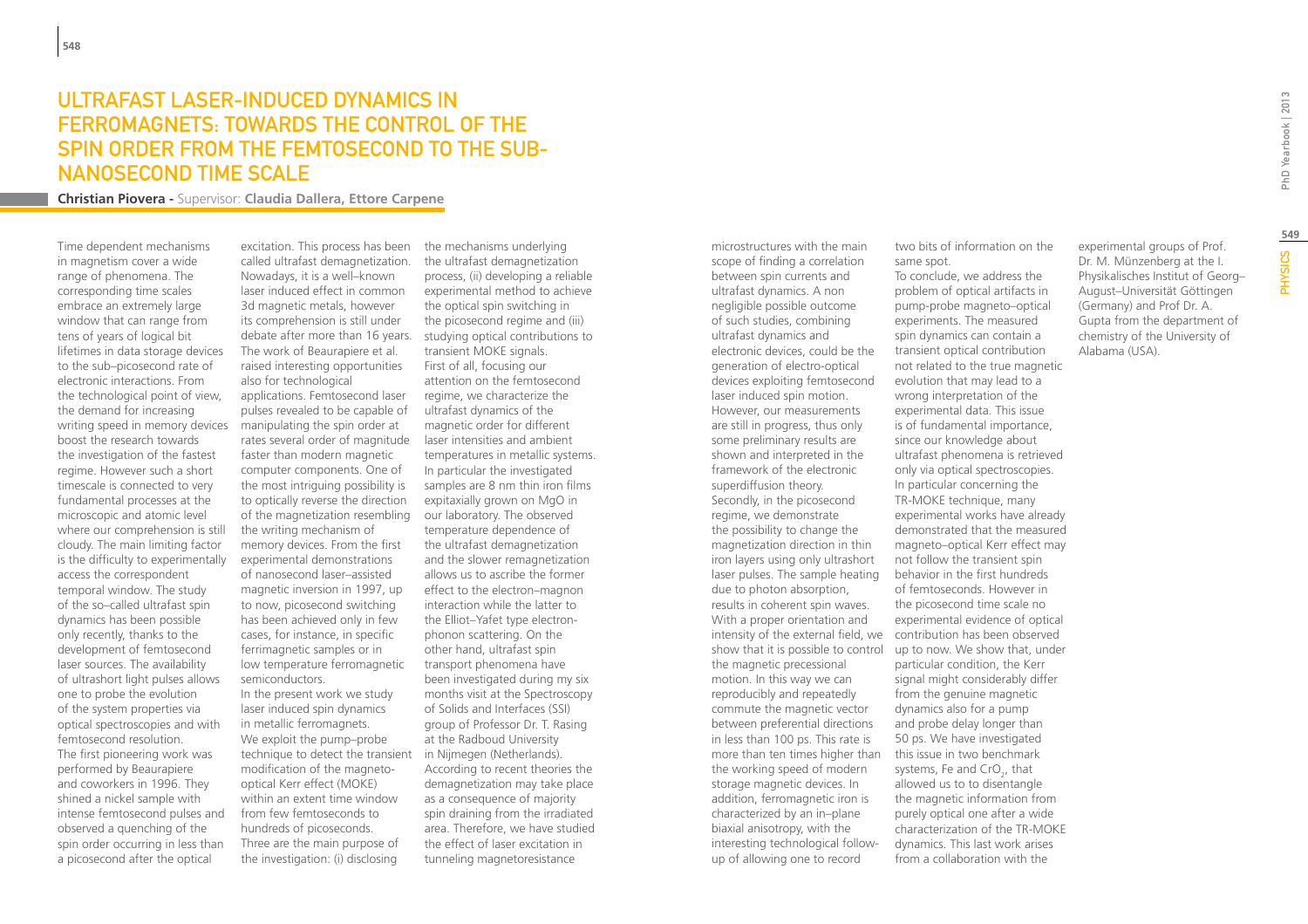### Ultrafast laser-induced dynamics in ferromagnets: towards the control of the spin order from the femtosecond to the subnanosecond time scale

**Christian Piovera -** Supervisor: **Claudia Dallera, Ettore Carpene**

Time dependent mechanisms in magnetism cover a wide range of phenomena. The corresponding time scales embrace an extremely large window that can range from tens of years of logical bit lifetimes in data storage devices to the sub–picosecond rate of electronic interactions. From the technological point of view, the demand for increasing writing speed in memory devices boost the research towards the investigation of the fastest regime. However such a short timescale is connected to very fundamental processes at the microscopic and atomic level where our comprehension is still cloudy. The main limiting factor is the difficulty to experimentally access the correspondent temporal window. The study of the so–called ultrafast spin dynamics has been possible only recently, thanks to the development of femtosecond laser sources. The availability of ultrashort light pulses allows one to probe the evolution of the system properties via optical spectroscopies and with femtosecond resolution. The first pioneering work was performed by Beaurapiere and coworkers in 1996. They shined a nickel sample with intense femtosecond pulses and observed a quenching of the spin order occurring in less than a picosecond after the optical

excitation. This process has been called ultrafast demagnetization. Nowadays, it is a well–known laser induced effect in common 3d magnetic metals, however its comprehension is still under debate after more than 16 years. The work of Beaurapiere et al. raised interesting opportunities also for technological applications. Femtosecond laser pulses revealed to be capable of manipulating the spin order at rates several order of magnitude faster than modern magnetic computer components. One of the most intriguing possibility is to optically reverse the direction of the magnetization resembling the writing mechanism of memory devices. From the first experimental demonstrations of nanosecond laser–assisted magnetic inversion in 1997, up to now, picosecond switching has been achieved only in few cases, for instance, in specific ferrimagnetic samples or in low temperature ferromagnetic semiconductors. In the present work we study laser induced spin dynamics in metallic ferromagnets. We exploit the pump–probe technique to detect the transient modification of the magnetooptical Kerr effect (MOKE) within an extent time window from few femtoseconds to hundreds of picoseconds. Three are the main purpose of the investigation: (i) disclosing

the mechanisms underlying the ultrafast demagnetization process, (ii) developing a reliable experimental method to achieve the optical spin switching in the picosecond regime and (iii) studying optical contributions to transient MOKE signals. First of all, focusing our attention on the femtosecond regime, we characterize the ultrafast dynamics of the magnetic order for different laser intensities and ambient temperatures in metallic systems. In particular the investigated samples are 8 nm thin iron films expitaxially grown on MgO in our laboratory. The observed temperature dependence of the ultrafast demagnetization and the slower remagnetization allows us to ascribe the former effect to the electron–magnon interaction while the latter to the Elliot–Yafet type electronphonon scattering. On the other hand, ultrafast spin transport phenomena have been investigated during my six months visit at the Spectroscopy of Solids and Interfaces (SSI) group of Professor Dr. T. Rasing at the Radboud University in Nijmegen (Netherlands). According to recent theories the demagnetization may take place as a consequence of majority spin draining from the irradiated area. Therefore, we have studied the effect of laser excitation in tunneling magnetoresistance

microstructures with the main scope of finding a correlation between spin currents and ultrafast dynamics. A non negligible possible outcome of such studies, combining ultrafast dynamics and electronic devices, could be the generation of electro-optical devices exploiting femtosecond laser induced spin motion. However, our measurements are still in progress, thus only some preliminary results are shown and interpreted in the framework of the electronic superdiffusion theory. Secondly, in the picosecond regime, we demonstrate the possibility to change the magnetization direction in thin iron layers using only ultrashort laser pulses. The sample heating due to photon absorption, results in coherent spin waves. With a proper orientation and intensity of the external field, we contribution has been observed show that it is possible to control the magnetic precessional motion. In this way we can reproducibly and repeatedly commute the magnetic vector between preferential directions in less than 100 ps. This rate is more than ten times higher than the working speed of modern storage magnetic devices. In addition, ferromagnetic iron is characterized by an in–plane biaxial anisotropy, with the interesting technological followup of allowing one to record

two bits of information on the same spot.

To conclude, we address the problem of optical artifacts in pump-probe magneto–optical experiments. The measured spin dynamics can contain a transient optical contribution not related to the true magnetic evolution that may lead to a wrong interpretation of the experimental data. This issue is of fundamental importance, since our knowledge about ultrafast phenomena is retrieved only via optical spectroscopies. In particular concerning the TR-MOKE technique, many experimental works have already demonstrated that the measured magneto–optical Kerr effect may not follow the transient spin behavior in the first hundreds of femtoseconds. However in the picosecond time scale no experimental evidence of optical up to now. We show that, under particular condition, the Kerr signal might considerably differ from the genuine magnetic dynamics also for a pump and probe delay longer than 50 ps. We have investigated this issue in two benchmark systems, Fe and  $CrO<sub>2</sub>$ , that allowed us to to disentangle the magnetic information from purely optical one after a wide characterization of the TR-MOKE dynamics. This last work arises from a collaboration with the

experimental groups of Prof. Dr. M. Münzenberg at the I. Physikalisches Institut of Georg– August–Universität Göttingen (Germany) and Prof Dr. A. Gupta from the department of chemistry of the University of Alabama (USA).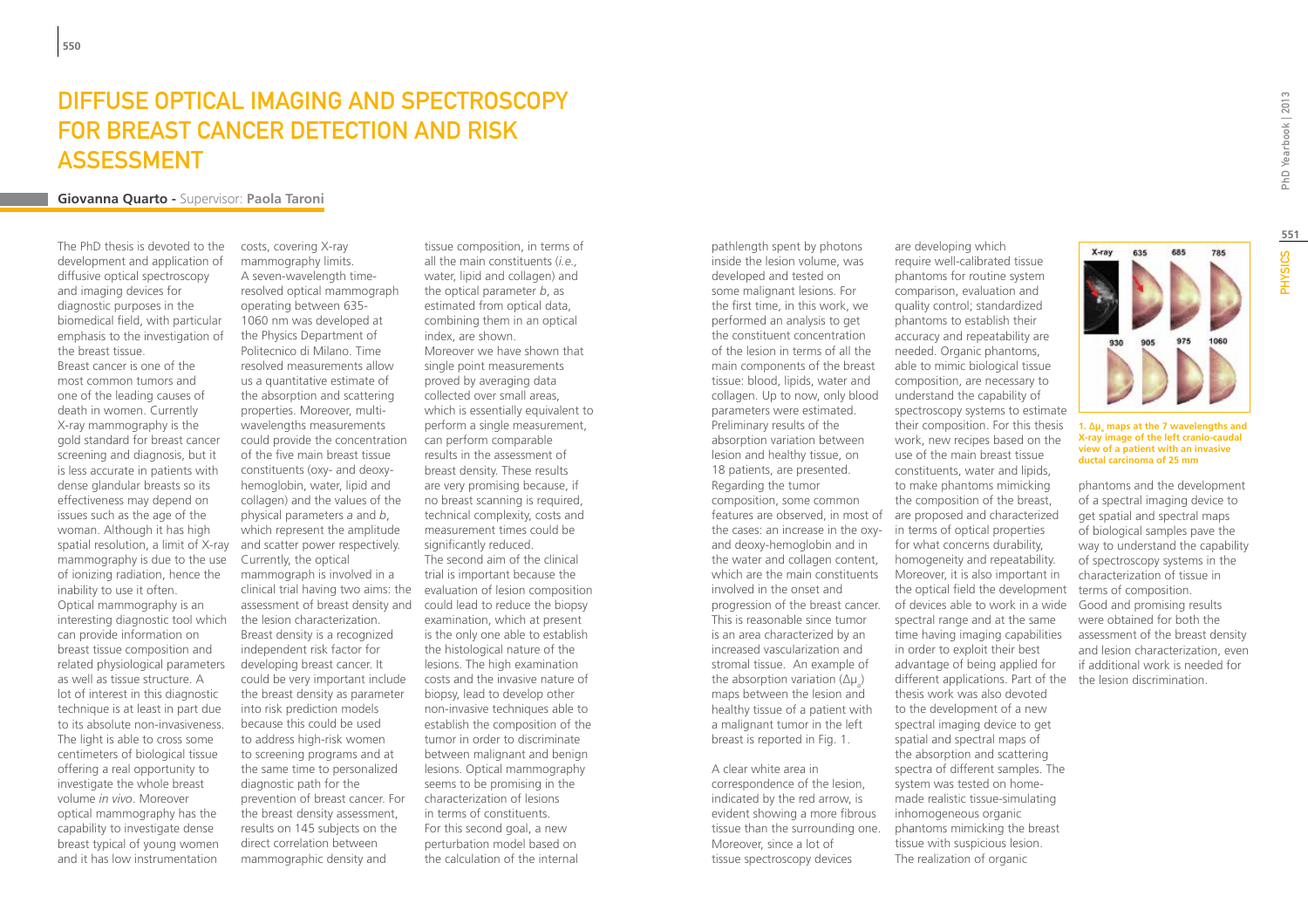### Diffuse Optical Imaging and Spectroscopy for Breast Cancer Detection and Risk **ASSESSMENT**

#### **Giovanna Quarto -** Supervisor: **Paola Taroni**

The PhD thesis is devoted to the development and application of diffusive optical spectroscopy and imaging devices for diagnostic purposes in the biomedical field, with particular emphasis to the investigation of the breast tissue.

Breast cancer is one of the most common tumors and one of the leading causes of death in women. Currently X-ray mammography is the gold standard for breast cancer screening and diagnosis, but it is less accurate in patients with dense glandular breasts so its effectiveness may depend on issues such as the age of the woman. Although it has high spatial resolution, a limit of X-ray mammography is due to the use of ionizing radiation, hence the inability to use it often. Optical mammography is an interesting diagnostic tool which can provide information on breast tissue composition and related physiological parameters as well as tissue structure. A lot of interest in this diagnostic technique is at least in part due to its absolute non-invasiveness. The light is able to cross some centimeters of biological tissue offering a real opportunity to investigate the whole breast volume *in vivo*. Moreover optical mammography has the capability to investigate dense breast typical of young women and it has low instrumentation

costs, covering X-ray mammography limits. A seven-wavelength timeresolved optical mammograph operating between 635- 1060 nm was developed at the Physics Department of Politecnico di Milano. Time resolved measurements allow us a quantitative estimate of the absorption and scattering properties. Moreover, multiwavelengths measurements could provide the concentration of the five main breast tissue constituents (oxy- and deoxyhemoglobin, water, lipid and collagen) and the values of the physical parameters *a* and *b*, which represent the amplitude and scatter power respectively. Currently, the optical mammograph is involved in a clinical trial having two aims: the assessment of breast density and the lesion characterization. Breast density is a recognized independent risk factor for developing breast cancer. It could be very important include the breast density as parameter into risk prediction models because this could be used to address high-risk women to screening programs and at the same time to personalized diagnostic path for the prevention of breast cancer. For the breast density assessment, results on 145 subjects on the direct correlation between mammographic density and

tissue composition, in terms of all the main constituents (*i.e.,*  water, lipid and collagen) and the optical parameter *b*, as estimated from optical data, combining them in an optical index, are shown. Moreover we have shown that single point measurements proved by averaging data collected over small areas, which is essentially equivalent to perform a single measurement, can perform comparable results in the assessment of breast density. These results are very promising because, if no breast scanning is required, technical complexity, costs and measurement times could be significantly reduced. The second aim of the clinical trial is important because the evaluation of lesion composition could lead to reduce the biopsy examination, which at present is the only one able to establish the histological nature of the lesions. The high examination costs and the invasive nature of biopsy, lead to develop other non-invasive techniques able to establish the composition of the tumor in order to discriminate between malignant and benign lesions. Optical mammography seems to be promising in the characterization of lesions in terms of constituents. For this second goal, a new perturbation model based on the calculation of the internal

pathlength spent by photons inside the lesion volume, was developed and tested on some malignant lesions. For the first time, in this work, we performed an analysis to get the constituent concentration of the lesion in terms of all the main components of the breast tissue: blood, lipids, water and collagen. Up to now, only blood parameters were estimated. Preliminary results of the absorption variation between lesion and healthy tissue, on 18 patients, are presented. Regarding the tumor composition, some common the cases: an increase in the oxyand deoxy-hemoglobin and in the water and collagen content, which are the main constituents involved in the onset and progression of the breast cancer. This is reasonable since tumor is an area characterized by an increased vascularization and stromal tissue. An example of the absorption variation  $(\Delta \mu_{a})$ maps between the lesion and healthy tissue of a patient with a malignant tumor in the left breast is reported in Fig. 1. A clear white area in

correspondence of the lesion, indicated by the red arrow, is evident showing a more fibrous tissue than the surrounding one. Moreover, since a lot of tissue spectroscopy devices

features are observed, in most of are proposed and characterized are developing which require well-calibrated tissue phantoms for routine system comparison, evaluation and quality control; standardized phantoms to establish their accuracy and repeatability are needed. Organic phantoms, able to mimic biological tissue composition, are necessary to understand the capability of spectroscopy systems to estimate their composition. For this thesis work, new recipes based on the use of the main breast tissue constituents, water and lipids, to make phantoms mimicking the composition of the breast, in terms of optical properties for what concerns durability, homogeneity and repeatability. Moreover, it is also important in the optical field the development of devices able to work in a wide spectral range and at the same time having imaging capabilities in order to exploit their best advantage of being applied for different applications. Part of the the lesion discrimination. thesis work was also devoted to the development of a new spectral imaging device to get spatial and spectral maps of the absorption and scattering spectra of different samples. The system was tested on homemade realistic tissue-simulating inhomogeneous organic phantoms mimicking the breast tissue with suspicious lesion.

The realization of organic

PhD Yearbook | 2013

X-ray

635

685

#### **X-ray image of the left cranio-caudal view of a patient with an invasive ductal carcinoma of 25 mm**

phantoms and the development of a spectral imaging device to get spatial and spectral maps of biological samples pave the way to understand the capability of spectroscopy systems in the characterization of tissue in terms of composition. Good and promising results were obtained for both the assessment of the breast density and lesion characterization, even if additional work is needed for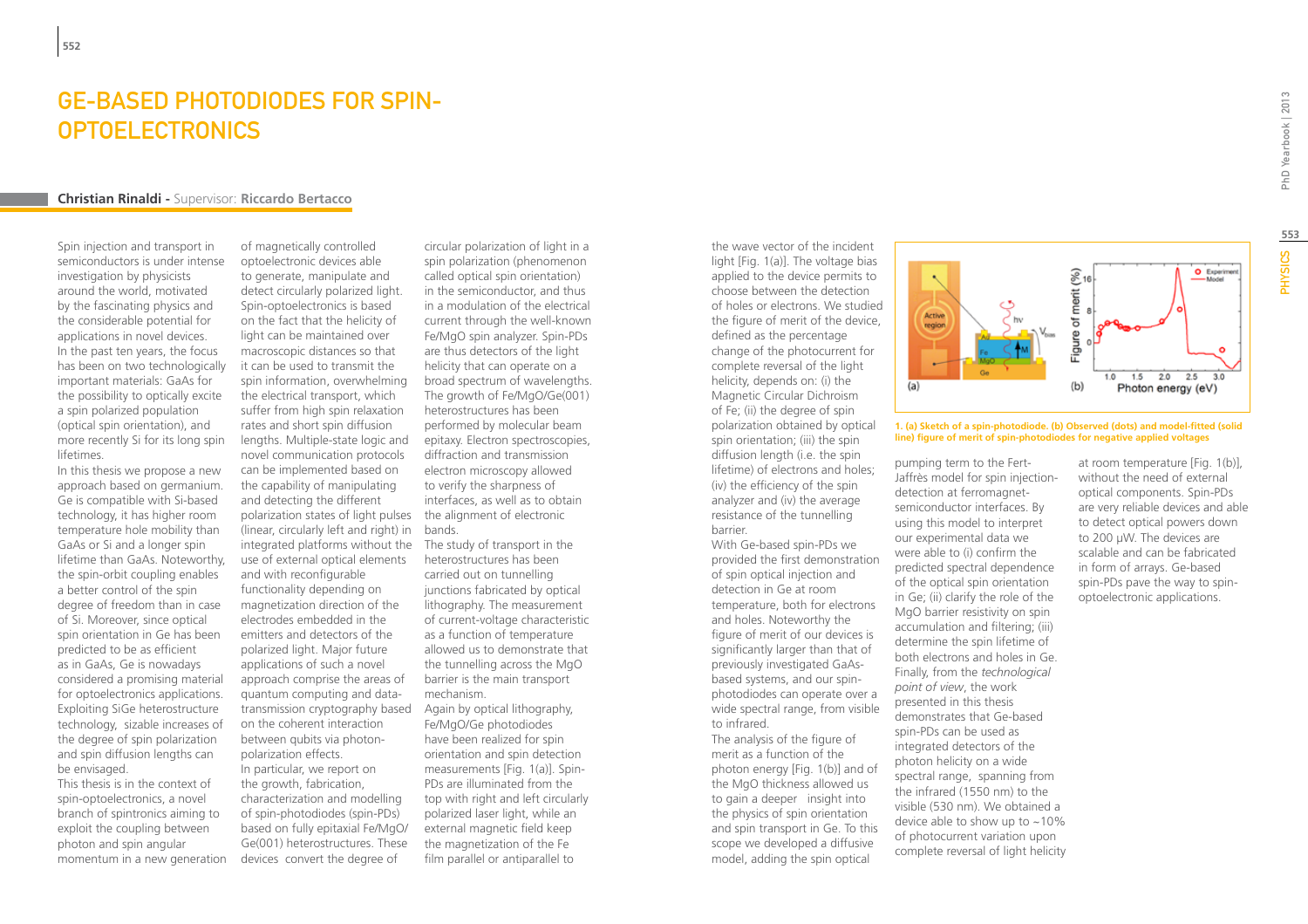### Ge-based photodiodes for spin-**OPTOELECTRONICS**

#### **Christian Rinaldi -** Supervisor: **Riccardo Bertacco**

Spin injection and transport in semiconductors is under intense investigation by physicists around the world, motivated by the fascinating physics and the considerable potential for applications in novel devices. In the past ten years, the focus has been on two technologically important materials: GaAs for the possibility to optically excite a spin polarized population (optical spin orientation), and more recently Si for its long spin lifetimes.

In this thesis we propose a new approach based on germanium. Ge is compatible with Si-based technology, it has higher room temperature hole mobility than GaAs or Si and a longer spin lifetime than GaAs. Noteworthy, the spin-orbit coupling enables a better control of the spin degree of freedom than in case of Si. Moreover, since optical spin orientation in Ge has been predicted to be as efficient as in GaAs, Ge is nowadays considered a promising material for optoelectronics applications. Exploiting SiGe heterostructure technology, sizable increases of the degree of spin polarization and spin diffusion lengths can be envisaged.

This thesis is in the context of spin-optoelectronics, a novel branch of spintronics aiming to exploit the coupling between photon and spin angular momentum in a new generation

of magnetically controlled optoelectronic devices able to generate, manipulate and detect circularly polarized light. Spin-optoelectronics is based on the fact that the helicity of light can be maintained over macroscopic distances so that it can be used to transmit the spin information, overwhelming the electrical transport, which suffer from high spin relaxation rates and short spin diffusion lengths. Multiple-state logic and novel communication protocols can be implemented based on the capability of manipulating and detecting the different polarization states of light pulses the alignment of electronic (linear, circularly left and right) in bands. integrated platforms without the use of external optical elements and with reconfigurable functionality depending on magnetization direction of the electrodes embedded in the emitters and detectors of the polarized light. Major future applications of such a novel approach comprise the areas of quantum computing and datatransmission cryptography based on the coherent interaction between qubits via photonpolarization effects. In particular, we report on

the growth, fabrication, characterization and modelling of spin-photodiodes (spin-PDs) based on fully epitaxial Fe/MgO/ Ge(001) heterostructures. These devices convert the degree of

circular polarization of light in a spin polarization (phenomenon called optical spin orientation) in the semiconductor, and thus in a modulation of the electrical current through the well-known Fe/MgO spin analyzer. Spin-PDs are thus detectors of the light helicity that can operate on a broad spectrum of wavelengths. The growth of Fe/MgO/Ge(001) heterostructures has been performed by molecular beam epitaxy. Electron spectroscopies, diffraction and transmission electron microscopy allowed to verify the sharpness of interfaces, as well as to obtain

The study of transport in the heterostructures has been carried out on tunnelling junctions fabricated by optical lithography. The measurement of current-voltage characteristic as a function of temperature allowed us to demonstrate that the tunnelling across the MgO barrier is the main transport mechanism.

Again by optical lithography, Fe/MgO/Ge photodiodes have been realized for spin orientation and spin detection measurements [Fig. 1(a)]. Spin-PDs are illuminated from the top with right and left circularly polarized laser light, while an external magnetic field keep the magnetization of the Fe film parallel or antiparallel to

the wave vector of the incident light [Fig. 1(a)]. The voltage bias applied to the device permits to choose between the detection of holes or electrons. We studied the figure of merit of the device, defined as the percentage change of the photocurrent for complete reversal of the light helicity, depends on: (i) the Magnetic Circular Dichroism of Fe; (ii) the degree of spin polarization obtained by optical spin orientation; (iii) the spin diffusion length (i.e. the spin lifetime) of electrons and holes; (iv) the efficiency of the spin analyzer and (iv) the average resistance of the tunnelling barrier.

With Ge-based spin-PDs we provided the first demonstration of spin optical injection and detection in Ge at room temperature, both for electrons and holes. Noteworthy the figure of merit of our devices is significantly larger than that of previously investigated GaAsbased systems, and our spinphotodiodes can operate over a wide spectral range, from visible to infrared.

The analysis of the figure of merit as a function of the photon energy [Fig. 1(b)] and of the MgO thickness allowed us to gain a deeper insight into the physics of spin orientation and spin transport in Ge. To this scope we developed a diffusive model, adding the spin optical



**1. (a) Sketch of a spin-photodiode. (b) Observed (dots) and model-fitted (solid line) figure of merit of spin-photodiodes for negative applied voltages**

pumping term to the Fert-Jaffrès model for spin injectiondetection at ferromagnetsemiconductor interfaces. By using this model to interpret our experimental data we were able to (i) confirm the predicted spectral dependence of the optical spin orientation in Ge; (ii) clarify the role of the MgO barrier resistivity on spin accumulation and filtering; (iii) determine the spin lifetime of both electrons and holes in Ge. Finally, from the *technological point of view*, the work presented in this thesis demonstrates that Ge-based spin-PDs can be used as integrated detectors of the photon helicity on a wide spectral range, spanning from the infrared (1550 nm) to the visible (530 nm). We obtained a device able to show up to  $\sim$  10% of photocurrent variation upon complete reversal of light helicity at room temperature [Fig. 1(b)], without the need of external optical components. Spin-PDs are very reliable devices and able to detect optical powers down to 200 μW. The devices are scalable and can be fabricated in form of arrays. Ge-based spin-PDs pave the way to spinoptoelectronic applications.

**553**

**PHYSICS**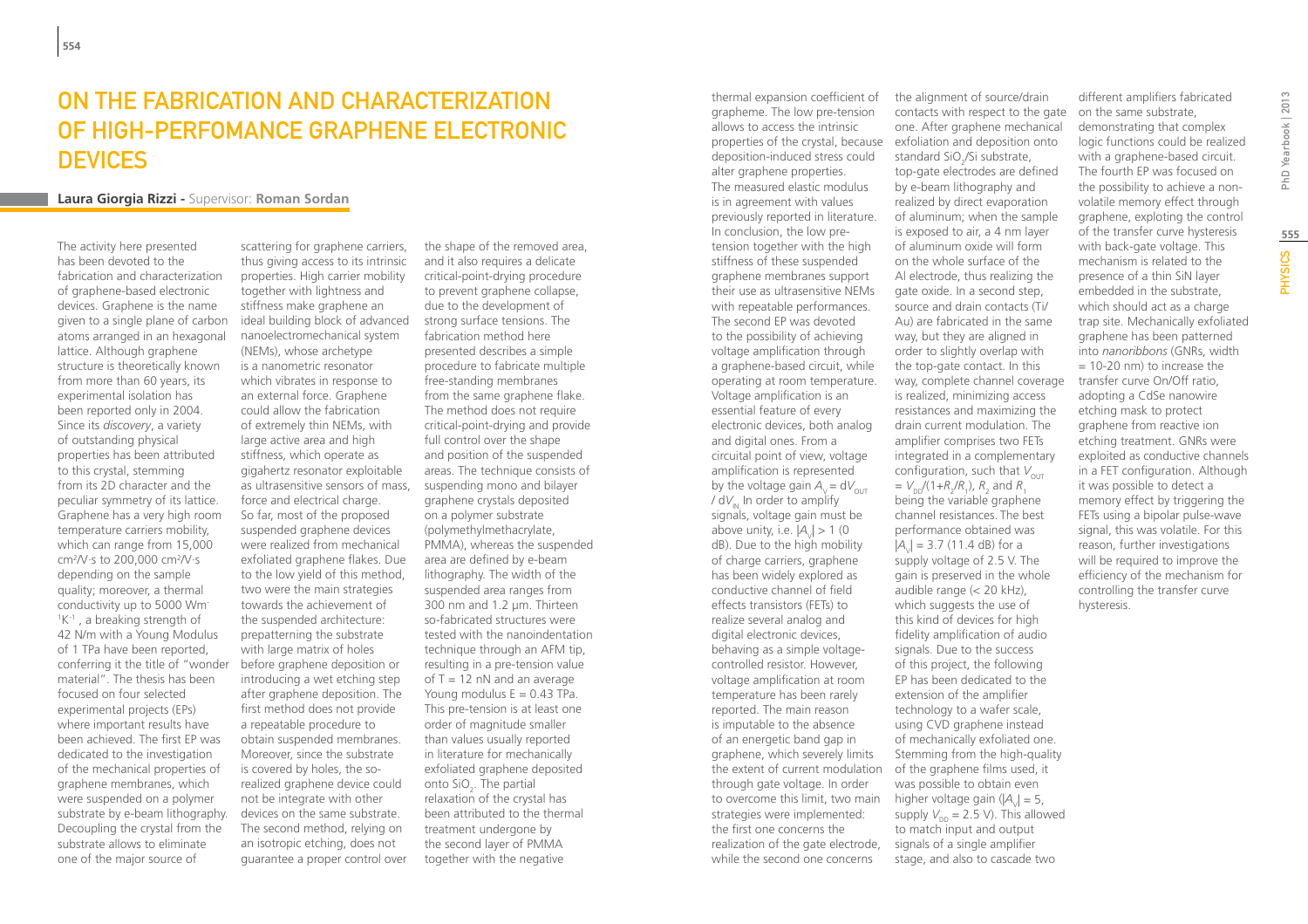### On the fabrication and characterization of high-perfomance graphene electronic **DEVICES**

#### **Laura Giorgia Rizzi -** Supervisor: **Roman Sordan**

The activity here presented has been devoted to the fabrication and characterization of graphene-based electronic devices. Graphene is the name given to a single plane of carbon atoms arranged in an hexagonal lattice. Although graphene structure is theoretically known from more than 60 years, its experimental isolation has been reported only in 2004. Since its *discovery*, a variety of outstanding physical properties has been attributed to this crystal, stemming from its 2D character and the peculiar symmetry of its lattice. Graphene has a very high room temperature carriers mobility, which can range from 15,000 cm2 /V·s to 200,000 cm2 /V·s depending on the sample quality; moreover, a thermal conductivity up to 5000 Wm-<sup>1</sup>K<sup>-1</sup>, a breaking strength of 42 N/m with a Young Modulus of 1 TPa have been reported, conferring it the title of "wonder material". The thesis has been focused on four selected experimental projects (EPs) where important results have been achieved. The first EP was dedicated to the investigation of the mechanical properties of graphene membranes, which were suspended on a polymer substrate by e-beam lithography. Decoupling the crystal from the substrate allows to eliminate one of the major source of

scattering for graphene carriers, thus giving access to its intrinsic properties. High carrier mobility together with lightness and stiffness make graphene an ideal building block of advanced nanoelectromechanical system (NEMs), whose archetype is a nanometric resonator which vibrates in response to an external force. Graphene could allow the fabrication of extremely thin NEMs, with large active area and high stiffness, which operate as gigahertz resonator exploitable as ultrasensitive sensors of mass, force and electrical charge. So far, most of the proposed suspended graphene devices were realized from mechanical exfoliated graphene flakes. Due to the low yield of this method, two were the main strategies towards the achievement of the suspended architecture: prepatterning the substrate with large matrix of holes before graphene deposition or introducing a wet etching step after graphene deposition. The first method does not provide a repeatable procedure to obtain suspended membranes. Moreover, since the substrate is covered by holes, the sorealized graphene device could not be integrate with other devices on the same substrate. The second method, relying on an isotropic etching, does not guarantee a proper control over

the shape of the removed area and it also requires a delicate critical-point-drying procedure to prevent graphene collapse. due to the development of strong surface tensions. The fabrication method here presented describes a simple procedure to fabricate multiple free-standing membranes from the same graphene flake. The method does not require critical-point-drying and provide full control over the shape and position of the suspended areas. The technique consists of suspending mono and bilayer graphene crystals deposited on a polymer substrate (polymethylmethacrylate, PMMA), whereas the suspended area are defined by e-beam lithography. The width of the suspended area ranges from 300 nm and 1.2 µm. Thirteen so-fabricated structures were tested with the nanoindentation technique through an AFM tip, resulting in a pre-tension value of  $T = 12$  nN and an average Young modulus  $E = 0.43$  TPa. This pre-tension is at least one order of magnitude smaller than values usually reported in literature for mechanically exfoliated graphene deposited onto SiO<sub>2</sub>. The partial relaxation of the crystal has been attributed to the thermal treatment undergone by the second layer of PMMA together with the negative

thermal expansion coefficient of grapheme. The low pre-tension allows to access the intrinsic properties of the crystal, because exfoliation and deposition onto deposition-induced stress could alter graphene properties. The measured elastic modulus is in agreement with values previously reported in literature. In conclusion, the low pretension together with the high stiffness of these suspended graphene membranes support their use as ultrasensitive NEMs with repeatable performances. The second EP was devoted to the possibility of achieving voltage amplification through a graphene-based circuit, while operating at room temperature. Voltage amplification is an essential feature of every electronic devices, both analog and digital ones. From a circuital point of view, voltage amplification is represented by the voltage gain  $A_v = dV_{\text{out}}$  $/dV<sub>m</sub>$ . In order to amplify signals, voltage gain must be above unity, i.e.  $|A_{y}| > 1$  (0 dB). Due to the high mobility of charge carriers, graphene has been widely explored as conductive channel of field effects transistors (FETs) to realize several analog and digital electronic devices, behaving as a simple voltagecontrolled resistor. However, voltage amplification at room temperature has been rarely reported. The main reason is imputable to the absence of an energetic band gap in graphene, which severely limits the extent of current modulation through gate voltage. In order to overcome this limit, two main strategies were implemented: the first one concerns the realization of the gate electrode, while the second one concerns

the alignment of source/drain contacts with respect to the gate one. After graphene mechanical standard SiO<sub>2</sub>/Si substrate, top-gate electrodes are defined by e-beam lithography and realized by direct evaporation of aluminum; when the sample is exposed to air, a 4 nm layer of aluminum oxide will form on the whole surface of the Al electrode, thus realizing the gate oxide. In a second step, source and drain contacts (Ti/ Au) are fabricated in the same way, but they are aligned in order to slightly overlap with the top-gate contact. In this way, complete channel coverage is realized, minimizing access resistances and maximizing the drain current modulation. The amplifier comprises two FETs integrated in a complementary configuration, such that  $V_{\text{OUT}}$  $= V_{DD}^{\prime}/(1+R_2^{\prime}/R_1)$ ,  $R_2^{\prime}$  and  $R_1^{\prime}$ being the variable graphene channel resistances. The best performance obtained was  $|A_{y}| = 3.7$  (11.4 dB) for a supply voltage of 2.5 V. The gain is preserved in the whole audible range (< 20 kHz), which suggests the use of this kind of devices for high fidelity amplification of audio signals. Due to the success of this project, the following EP has been dedicated to the extension of the amplifier technology to a wafer scale, using CVD graphene instead of mechanically exfoliated one. Stemming from the high-quality of the graphene films used, it was possible to obtain even higher voltage gain  $(|A_{\nu}| = 5$ , supply  $V_{\text{DD}} = 2.5$  V). This allowed to match input and output signals of a single amplifier stage, and also to cascade two

different amplifiers fabricated on the same substrate, demonstrating that complex logic functions could be realized with a graphene-based circuit. The fourth EP was focused on the possibility to achieve a nonvolatile memory effect through graphene, exploting the control of the transfer curve hysteresis with back-gate voltage. This mechanism is related to the presence of a thin SiN layer embedded in the substrate, which should act as a charge trap site. Mechanically exfoliated graphene has been patterned into *nanoribbons* (GNRs, width  $= 10-20$  nm) to increase the transfer curve On/Off ratio, adopting a CdSe nanowire etching mask to protect graphene from reactive ion etching treatment. GNRs were exploited as conductive channels in a FET configuration. Although it was possible to detect a memory effect by triggering the FETs using a bipolar pulse-wave signal, this was volatile. For this reason, further investigations will be required to improve the efficiency of the mechanism for controlling the transfer curve

hysteresis.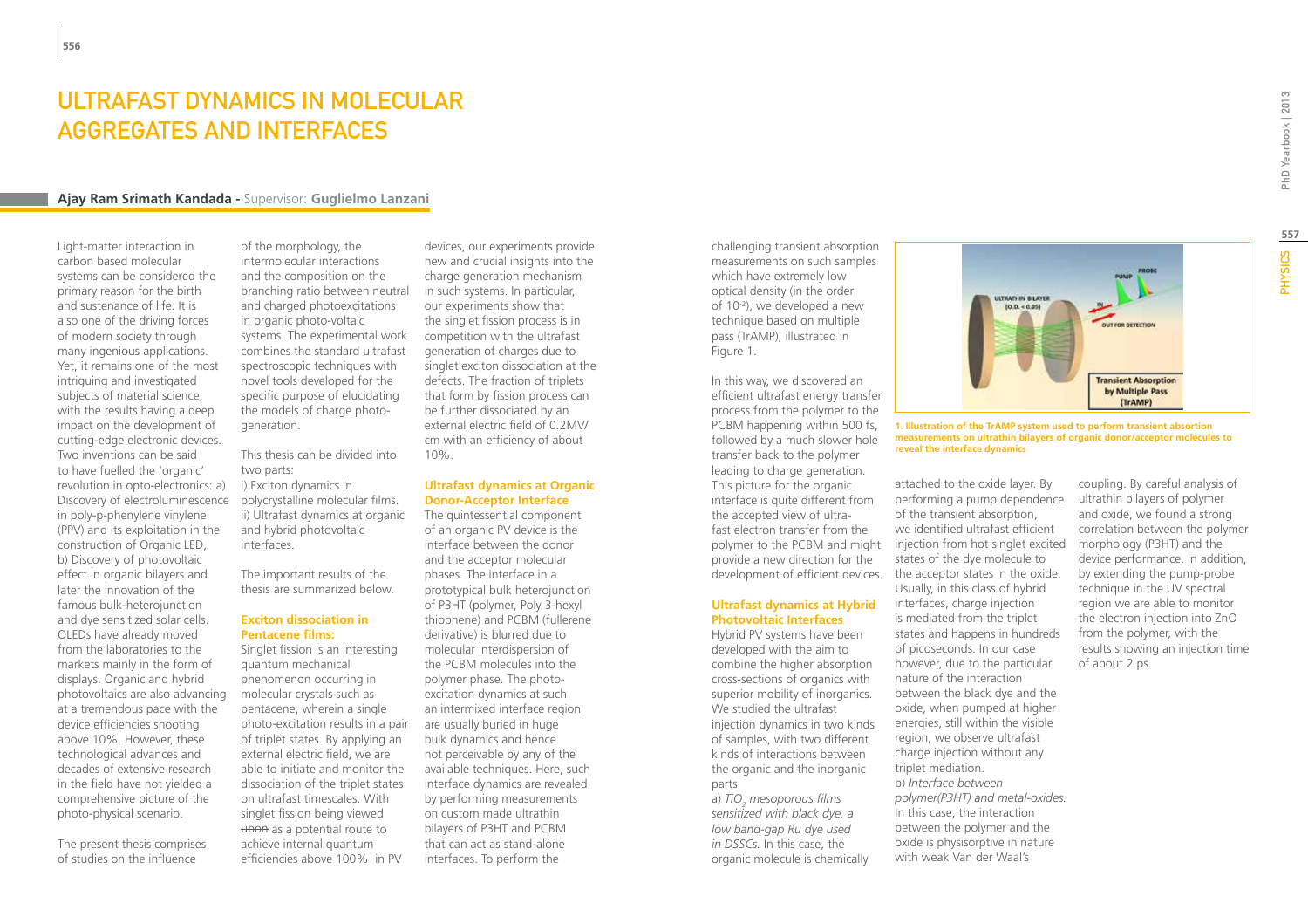### Ultrafast Dynamics in Molecular Aggregates and Interfaces

#### **Ajay Ram Srimath Kandada -** Supervisor: **Guglielmo Lanzani**

Light-matter interaction in carbon based molecular systems can be considered the primary reason for the birth and sustenance of life. It is also one of the driving forces of modern society through many ingenious applications. Yet, it remains one of the most intriguing and investigated subjects of material science, with the results having a deep impact on the development of cutting-edge electronic devices. Two inventions can be said to have fuelled the 'organic' revolution in opto-electronics: a) Discovery of electroluminescence in poly-p-phenylene vinylene (PPV) and its exploitation in the construction of Organic LED, b) Discovery of photovoltaic effect in organic bilayers and later the innovation of the famous bulk-heterojunction and dye sensitized solar cells. OLEDs have already moved from the laboratories to the markets mainly in the form of displays. Organic and hybrid photovoltaics are also advancing at a tremendous pace with the device efficiencies shooting above 10%. However, these technological advances and decades of extensive research in the field have not yielded a comprehensive picture of the photo-physical scenario.

The present thesis comprises of studies on the influence

of the morphology, the intermolecular interactions and the composition on the branching ratio between neutral and charged photoexcitations in organic photo-voltaic systems. The experimental work combines the standard ultrafast spectroscopic techniques with novel tools developed for the specific purpose of elucidating the models of charge photogeneration.

This thesis can be divided into two parts: i) Exciton dynamics in polycrystalline molecular films. ii) Ultrafast dynamics at organic and hybrid photovoltaic interfaces.

The important results of the thesis are summarized below.

#### **Exciton dissociation in Pentacene films:**

Singlet fission is an interesting quantum mechanical phenomenon occurring in molecular crystals such as pentacene, wherein a single photo-excitation results in a pair of triplet states. By applying an external electric field, we are able to initiate and monitor the dissociation of the triplet states on ultrafast timescales. With singlet fission being viewed upon as a potential route to achieve internal quantum efficiencies above 100% in PV

devices, our experiments provide new and crucial insights into the charge generation mechanism in such systems. In particular, our experiments show that the singlet fission process is in competition with the ultrafast generation of charges due to singlet exciton dissociation at the defects. The fraction of triplets that form by fission process can be further dissociated by an external electric field of 0.2MV/ cm with an efficiency of about 10%.

#### **Ultrafast dynamics at Organic Donor-Acceptor Interface**

The quintessential component of an organic PV device is the interface between the donor and the acceptor molecular phases. The interface in a prototypical bulk heterojunction of P3HT (polymer, Poly 3-hexyl thiophene) and PCBM (fullerene derivative) is blurred due to molecular interdispersion of the PCBM molecules into the polymer phase. The photoexcitation dynamics at such an intermixed interface region are usually buried in huge bulk dynamics and hence not perceivable by any of the available techniques. Here, such interface dynamics are revealed by performing measurements on custom made ultrathin bilayers of P3HT and PCBM that can act as stand-alone interfaces. To perform the

challenging transient absorption measurements on such samples which have extremely low optical density (in the order of 10-2), we developed a new technique based on multiple pass (TrAMP), illustrated in Figure 1.

In this way, we discovered an efficient ultrafast energy transfer process from the polymer to the PCBM happening within 500 fs, followed by a much slower hole transfer back to the polymer leading to charge generation. This picture for the organic interface is quite different from the accepted view of ultrafast electron transfer from the polymer to the PCBM and might provide a new direction for the

#### **Ultrafast dynamics at Hybrid Photovoltaic Interfaces**

Hybrid PV systems have been developed with the aim to combine the higher absorption cross-sections of organics with superior mobility of inorganics. We studied the ultrafast injection dynamics in two kinds of samples, with two different kinds of interactions between the organic and the inorganic parts.

a) *TiO<sub>2</sub> mesoporous films sensitized with black dye, a low band-gap Ru dye used in DSSCs.* In this case, the organic molecule is chemically



**1. Illustration of the TrAMP system used to perform transient absortion measurements on ultrathin bilayers of organic donor/acceptor molecules to reveal the interface dynamics**

development of efficient devices. the acceptor states in the oxide. attached to the oxide layer. By performing a pump dependence of the transient absorption, we identified ultrafast efficient injection from hot singlet excited states of the dye molecule to Usually, in this class of hybrid interfaces, charge injection is mediated from the triplet states and happens in hundreds of picoseconds. In our case however, due to the particular nature of the interaction between the black dye and the oxide, when pumped at higher energies, still within the visible region, we observe ultrafast charge injection without any triplet mediation. b) *Interface between polymer(P3HT) and metal-oxides.* In this case, the interaction between the polymer and the oxide is physisorptive in nature with weak Van der Waal's

coupling. By careful analysis of ultrathin bilayers of polymer and oxide, we found a strong correlation between the polymer morphology (P3HT) and the device performance. In addition, by extending the pump-probe technique in the UV spectral region we are able to monitor the electron injection into ZnO from the polymer, with the results showing an injection time of about 2 ps.

**557**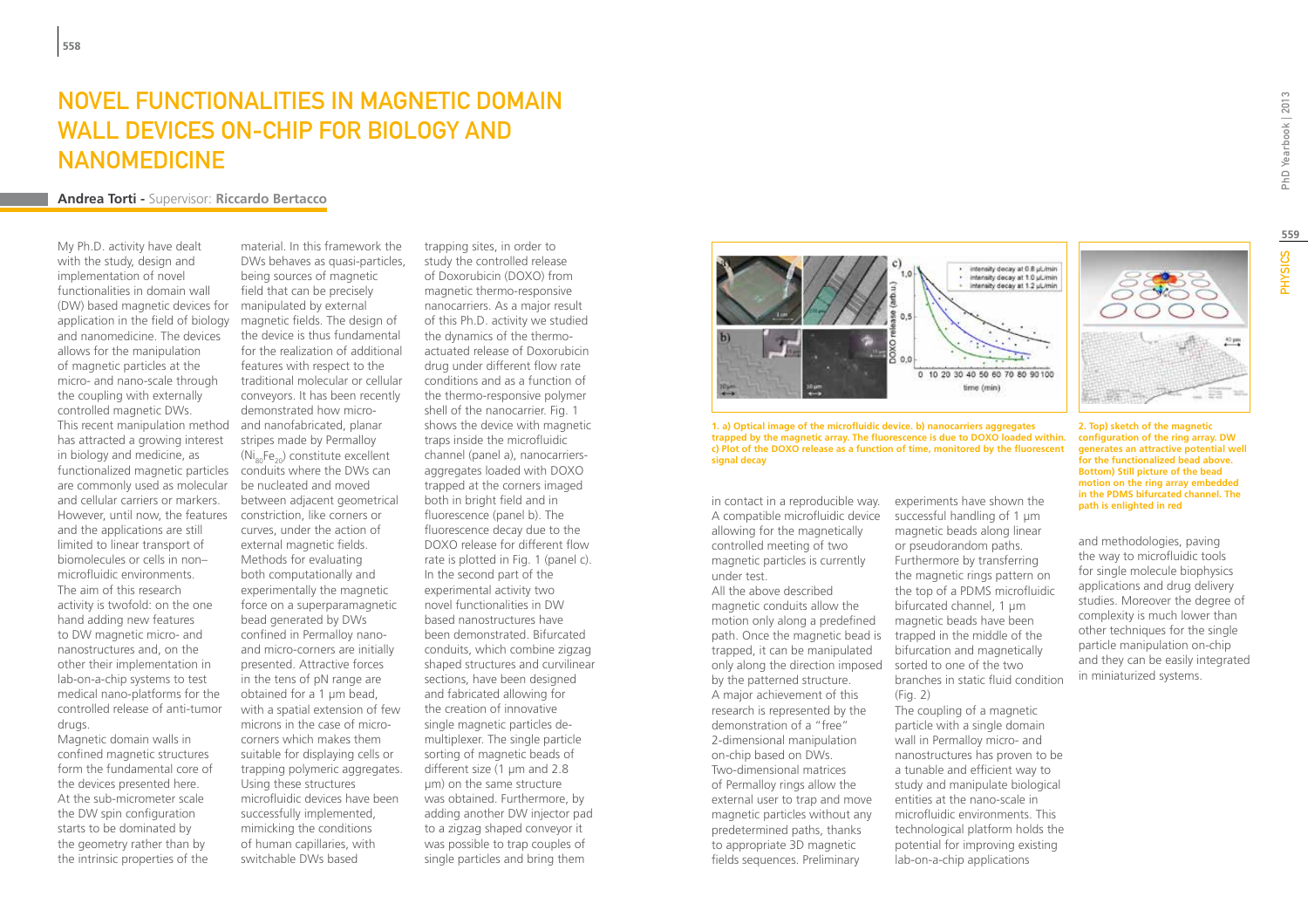### Novel functionalities in magnetic domain WALL DEVICES ON-CHIP FOR BIOLOGY AND **NANOMEDICINE**

#### **Andrea Torti -** Supervisor: **Riccardo Bertacco**

My Ph.D. activity have dealt with the study, design and implementation of novel functionalities in domain wall (DW) based magnetic devices for application in the field of biology and nanomedicine. The devices allows for the manipulation of magnetic particles at the micro- and nano-scale through the coupling with externally controlled magnetic DWs. This recent manipulation method has attracted a growing interest in biology and medicine, as functionalized magnetic particles conduits where the DWs can are commonly used as molecular and cellular carriers or markers. However, until now, the features constriction, like corners or and the applications are still limited to linear transport of biomolecules or cells in non– microfluidic environments. The aim of this research activity is twofold: on the one hand adding new features to DW magnetic micro- and nanostructures and, on the other their implementation in lab-on-a-chip systems to test medical nano-platforms for the controlled release of anti-tumor drugs.

Magnetic domain walls in confined magnetic structures form the fundamental core of the devices presented here. At the sub-micrometer scale the DW spin configuration starts to be dominated by the geometry rather than by the intrinsic properties of the

material. In this framework the DWs behaves as quasi-particles, being sources of magnetic field that can be precisely manipulated by external magnetic fields. The design of the device is thus fundamental for the realization of additional features with respect to the traditional molecular or cellular conveyors. It has been recently demonstrated how microand nanofabricated, planar stripes made by Permalloy  $(Ni_{00}Fe_{20})$  constitute excellent be nucleated and moved between adjacent geometrical curves, under the action of external magnetic fields. Methods for evaluating both computationally and experimentally the magnetic force on a superparamagnetic bead generated by DWs confined in Permalloy nanoand micro-corners are initially presented. Attractive forces in the tens of pN range are obtained for a 1 µm bead, with a spatial extension of few microns in the case of microcorners which makes them suitable for displaying cells or trapping polymeric aggregates. Using these structures microfluidic devices have been successfully implemented, mimicking the conditions of human capillaries, with switchable DWs based

trapping sites, in order to study the controlled release of Doxorubicin (DOXO) from magnetic thermo-responsive nanocarriers. As a major result of this Ph.D. activity we studied the dynamics of the thermoactuated release of Doxorubicin drug under different flow rate conditions and as a function of the thermo-responsive polymer shell of the nanocarrier. Fig. 1 shows the device with magnetic traps inside the microfluidic channel (panel a), nanocarriersaggregates loaded with DOXO trapped at the corners imaged both in bright field and in fluorescence (panel b). The fluorescence decay due to the DOXO release for different flow rate is plotted in Fig. 1 (panel c). In the second part of the experimental activity two novel functionalities in DW based nanostructures have been demonstrated. Bifurcated conduits, which combine zigzag shaped structures and curvilinear sections, have been designed and fabricated allowing for the creation of innovative single magnetic particles demultiplexer. The single particle sorting of magnetic beads of different size (1 µm and 2.8 µm) on the same structure was obtained. Furthermore, by adding another DW injector pad to a zigzag shaped conveyor it was possible to trap couples of single particles and bring them



**1. a) Optical image of the microfluidic device. b) nanocarriers aggregates trapped by the magnetic array. The fluorescence is due to DOXO loaded within. c) Plot of the DOXO release as a function of time, monitored by the fluorescent signal decay**

in contact in a reproducible way. A compatible microfluidic device allowing for the magnetically controlled meeting of two magnetic particles is currently under test.

All the above described magnetic conduits allow the motion only along a predefined path. Once the magnetic bead is trapped, it can be manipulated only along the direction imposed sorted to one of the two by the patterned structure. A major achievement of this research is represented by the demonstration of a "free" 2-dimensional manipulation on-chip based on DWs. Two-dimensional matrices of Permalloy rings allow the external user to trap and move magnetic particles without any predetermined paths, thanks to appropriate 3D magnetic fields sequences. Preliminary

experiments have shown the successful handling of 1 µm magnetic beads along linear or pseudorandom paths. Furthermore by transferring the magnetic rings pattern on the top of a PDMS microfluidic bifurcated channel, 1 um magnetic beads have been trapped in the middle of the bifurcation and magnetically branches in static fluid condition (Fig. 2)

The coupling of a magnetic particle with a single domain wall in Permalloy micro- and nanostructures has proven to be a tunable and efficient way to study and manipulate biological entities at the nano-scale in microfluidic environments. This technological platform holds the potential for improving existing lab-on-a-chip applications

**559PHYSICS** 

**2. Top) sketch of the magnetic configuration of the ring array. DW generates an attractive potential well for the functionalized bead above. Bottom) Still picture of the bead motion on the ring array embedded in the PDMS bifurcated channel. The path is enlighted in red**

and methodologies, paving the way to microfluidic tools for single molecule biophysics applications and drug delivery studies. Moreover the degree of complexity is much lower than other techniques for the single particle manipulation on-chip and they can be easily integrated in miniaturized systems.